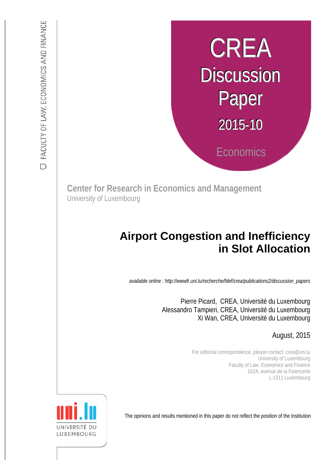# CREA **Discussion** Paper 2015-10 **Economics**

**Center for Research in Economics and Management** University of Luxembourg

## :s *def.uni.lu/index.php/fdef\_FR/economie/crea*  **in Slot Allocation Airport Congestion and Inefficiency**

*available online : http://wwwfr.uni.lu/recherche/fdef/crea/publications2/discussion\_papers* 

 Alessandro Tampieri, CREA, Université du Luxembourg Pierre Picard, CREA, Université du Luxembourg Xi Wan, CREA, Université du Luxembourg

August, 2015

For editorial correspondence, please contact: crea@uni.lu University of Luxembourg Faculty of Law, Economics and Finance 162A, avenue de la Faïencerie L-1511 Luxembourg

The opinions and results mentioned in this paper do not reflect the position of the Institution

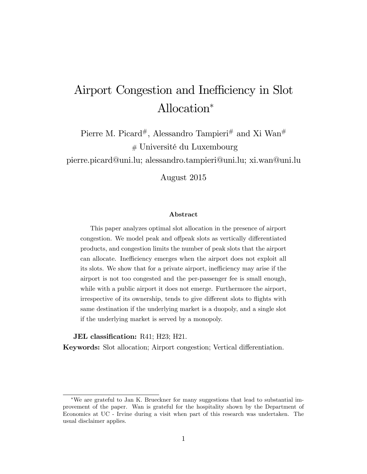# Airport Congestion and Inefficiency in Slot Allocation

Pierre M. Picard<sup>#</sup>, Alessandro Tampieri<sup>#</sup> and Xi Wan<sup>#</sup> # UniversitÈ du Luxembourg

pierre.picard@uni.lu; alessandro.tampieri@uni.lu; xi.wan@uni.lu

August 2015

#### Abstract

This paper analyzes optimal slot allocation in the presence of airport congestion. We model peak and offpeak slots as vertically differentiated products, and congestion limits the number of peak slots that the airport can allocate. Inefficiency emerges when the airport does not exploit all its slots. We show that for a private airport, inefficiency may arise if the airport is not too congested and the per-passenger fee is small enough, while with a public airport it does not emerge. Furthermore the airport, irrespective of its ownership, tends to give different slots to flights with same destination if the underlying market is a duopoly, and a single slot if the underlying market is served by a monopoly.

#### JEL classification: R41; H23; H21.

Keywords: Slot allocation; Airport congestion; Vertical differentiation.

We are grateful to Jan K. Brueckner for many suggestions that lead to substantial improvement of the paper. Wan is grateful for the hospitality shown by the Department of Economics at UC - Irvine during a visit when part of this research was undertaken. The usual disclaimer applies.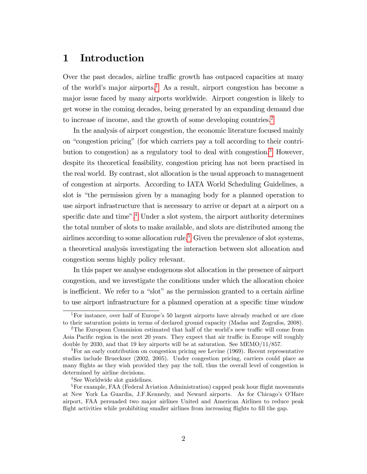## 1 Introduction

Over the past decades, airline traffic growth has outpaced capacities at many of the world's major airports.<sup>[1](#page-2-0)</sup> As a result, airport congestion has become a major issue faced by many airports worldwide. Airport congestion is likely to get worse in the coming decades, being generated by an expanding demand due to increase of income, and the growth of some developing countries.<sup>[2](#page-2-1)</sup>

In the analysis of airport congestion, the economic literature focused mainly on "congestion pricing" (for which carriers pay a toll according to their contri-bution to congestion) as a regulatory tool to deal with congestion.<sup>[3](#page-2-2)</sup> However, despite its theoretical feasibility, congestion pricing has not been practised in the real world. By contrast, slot allocation is the usual approach to management of congestion at airports. According to IATA World Scheduling Guidelines, a slot is "the permission given by a managing body for a planned operation to use airport infrastructure that is necessary to arrive or depart at a airport on a specific date and time".<sup>[4](#page-2-3)</sup> Under a slot system, the airport authority determines the total number of slots to make available, and slots are distributed among the airlines according to some allocation rule.<sup>[5](#page-2-4)</sup> Given the prevalence of slot systems, a theoretical analysis investigating the interaction between slot allocation and congestion seems highly policy relevant.

In this paper we analyse endogenous slot allocation in the presence of airport congestion, and we investigate the conditions under which the allocation choice is inefficient. We refer to a "slot" as the permission granted to a certain airline to use airport infrastructure for a planned operation at a specific time window

<span id="page-2-0"></span><sup>&</sup>lt;sup>1</sup>For instance, over half of Europe's 50 largest airports have already reached or are close to their saturation points in terms of declared ground capacity (Madas and Zografos, 2008).

<span id="page-2-1"></span><sup>&</sup>lt;sup>2</sup>The European Commision estimated that half of the world's new traffic will come from Asia Pacific region in the next 20 years. They expect that air traffic in Europe will roughly double by 2030, and that 19 key airports will be at saturation. See MEMO/11/857.

<span id="page-2-2"></span><sup>&</sup>lt;sup>3</sup>For an early contribution on congestion pricing see Levine (1969). Recent representative studies include Brueckner (2002, 2005). Under congestion pricing, carriers could place as many áights as they wish provided they pay the toll, thus the overall level of congestion is determined by airline decisions.

<span id="page-2-4"></span><span id="page-2-3"></span><sup>4</sup>See Worldwide slot guidelines.

 ${}^{5}$ For example, FAA (Federal Aviation Administration) capped peak hour flight movements at New York La Guardia, J.F.Kennedy, and Neward airports. As for Chicago's O'Hare airport, FAA persuaded two major airlines United and American Airlines to reduce peak flight activities while prohibiting smaller airlines from increasing flights to fill the gap.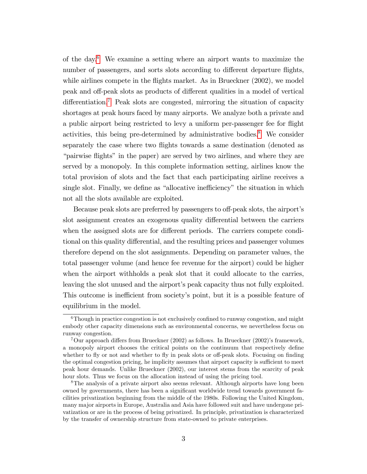of the day.[6](#page-3-0) We examine a setting where an airport wants to maximize the number of passengers, and sorts slots according to different departure flights, while airlines compete in the flights market. As in Brueckner (2002), we model peak and off-peak slots as products of different qualities in a model of vertical  $differential$ .<sup>[7](#page-3-1)</sup> Peak slots are congested, mirroring the situation of capacity shortages at peak hours faced by many airports. We analyze both a private and a public airport being restricted to levy a uniform per-passenger fee for flight activities, this being pre-determined by administrative bodies.<sup>[8](#page-3-2)</sup> We consider separately the case where two flights towards a same destination (denoted as "pairwise flights" in the paper) are served by two airlines, and where they are served by a monopoly. In this complete information setting, airlines know the total provision of slots and the fact that each participating airline receives a single slot. Finally, we define as "allocative inefficiency" the situation in which not all the slots available are exploited.

Because peak slots are preferred by passengers to off-peak slots, the airport's slot assignment creates an exogenous quality differential between the carriers when the assigned slots are for different periods. The carriers compete conditional on this quality differential, and the resulting prices and passenger volumes therefore depend on the slot assignments. Depending on parameter values, the total passenger volume (and hence fee revenue for the airport) could be higher when the airport withholds a peak slot that it could allocate to the carries, leaving the slot unused and the airport's peak capacity thus not fully exploited. This outcome is inefficient from society's point, but it is a possible feature of equilibrium in the model.

<span id="page-3-0"></span> $6$ Though in practice congestion is not exclusively confined to runway congestion, and might embody other capacity dimensions such as environmental concerns, we nevertheless focus on runway congestion.

<span id="page-3-1"></span><sup>&</sup>lt;sup>7</sup>Our approach differs from Brueckner (2002) as follows. In Brueckner (2002)'s framework, a monopoly airport chooses the critical points on the continuum that respectively define whether to fly or not and whether to fly in peak slots or off-peak slots. Focusing on finding the optimal congestion pricing, he implicity assumes that airport capacity is sufficient to meet peak hour demands. Unlike Brueckner (2002), our interest stems from the scarcity of peak hour slots. Thus we focus on the allocation instead of using the pricing tool.

<span id="page-3-2"></span><sup>8</sup>The analysis of a private airport also seems relevant. Although airports have long been owned by governments, there has been a significant worldwide trend towards government facilities privatization beginning from the middle of the 1980s. Following the United Kingdom, many major airports in Europe, Australia and Asia have followed suit and have undergone privatization or are in the process of being privatized. In principle, privatization is characterized by the transfer of ownership structure from state-owned to private enterprises.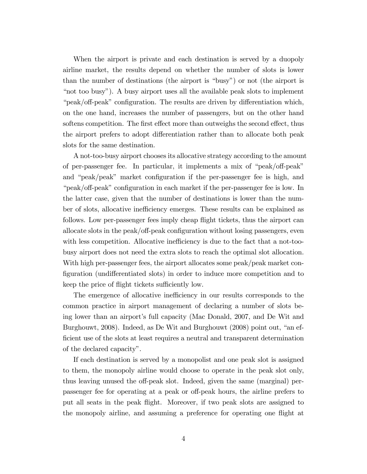When the airport is private and each destination is served by a duopoly airline market, the results depend on whether the number of slots is lower than the number of destinations (the airport is "busy") or not (the airport is ìnot too busyî). A busy airport uses all the available peak slots to implement  $\degree$ peak/off-peak" configuration. The results are driven by differentiation which, on the one hand, increases the number of passengers, but on the other hand softens competition. The first effect more than outweighs the second effect, thus the airport prefers to adopt differentiation rather than to allocate both peak slots for the same destination.

A not-too-busy airport chooses its allocative strategy according to the amount of per-passenger fee. In particular, it implements a mix of " $peak/off-peak$ " and "peak/peak" market configuration if the per-passenger fee is high, and  $\degree$ peak/off-peak" configuration in each market if the per-passenger fee is low. In the latter case, given that the number of destinations is lower than the number of slots, allocative inefficiency emerges. These results can be explained as follows. Low per-passenger fees imply cheap flight tickets, thus the airport can allocate slots in the peak/off-peak configuration without losing passengers, even with less competition. Allocative inefficiency is due to the fact that a not-toobusy airport does not need the extra slots to reach the optimal slot allocation. With high per-passenger fees, the airport allocates some peak/peak market configuration (undifferentiated slots) in order to induce more competition and to keep the price of flight tickets sufficiently low.

The emergence of allocative inefficiency in our results corresponds to the common practice in airport management of declaring a number of slots being lower than an airport's full capacity (Mac Donald, 2007, and De Wit and Burghouwt, 2008). Indeed, as De Wit and Burghouwt (2008) point out, "an ef-Öcient use of the slots at least requires a neutral and transparent determination of the declared capacity".

If each destination is served by a monopolist and one peak slot is assigned to them, the monopoly airline would choose to operate in the peak slot only, thus leaving unused the off-peak slot. Indeed, given the same (marginal) perpassenger fee for operating at a peak or off-peak hours, the airline prefers to put all seats in the peak áight. Moreover, if two peak slots are assigned to the monopoly airline, and assuming a preference for operating one áight at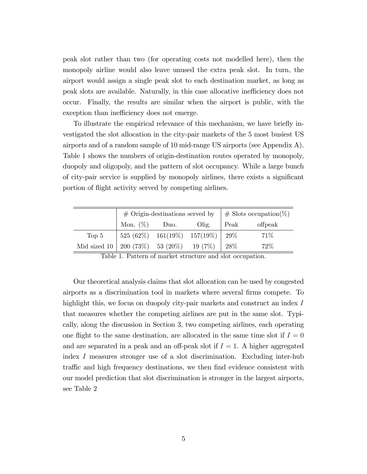peak slot rather than two (for operating costs not modelled here), then the monopoly airline would also leave unused the extra peak slot. In turn, the airport would assign a single peak slot to each destination market, as long as peak slots are available. Naturally, in this case allocative inefficiency does not occur. Finally, the results are similar when the airport is public, with the exception than inefficiency does not emerge.

To illustrate the empirical relevance of this mechanism, we have briefly investigated the slot allocation in the city-pair markets of the 5 most busiest US airports and of a random sample of 10 mid-range US airports (see Appendix A). Table 1 shows the numbers of origin-destination routes operated by monopoly, duopoly and oligopoly, and the pattern of slot occupancy. While a large bunch of city-pair service is supplied by monopoly airlines, there exists a significant portion of flight activity served by competing airlines.

|                                                 | # Origin-destinations served by $\#$ Slots occupation(%)                                |  |       |      |         |
|-------------------------------------------------|-----------------------------------------------------------------------------------------|--|-------|------|---------|
|                                                 | Mon. $(\%)$ Duo.                                                                        |  | Olig. | Peak | offpeak |
| Top <sub>5</sub>                                | $\begin{array}{ l} 525 \ (62\%) \quad 161(19\%) \quad 157(19\%) \quad 29\% \end{array}$ |  |       |      | 71\%    |
| Mid sized 10   200 (73%) 53 (20%) 19 (7%)   28% |                                                                                         |  |       |      | 72%     |

Table 1. Pattern of market structure and slot occupation.

Our theoretical analysis claims that slot allocation can be used by congested airports as a discrimination tool in markets where several Örms compete. To highlight this, we focus on duopoly city-pair markets and construct an index I that measures whether the competing airlines are put in the same slot. Typically, along the discussion in Section 3, two competing airlines, each operating one flight to the same destination, are allocated in the same time slot if  $I = 0$ and are separated in a peak and an off-peak slot if  $I = 1$ . A higher aggregated index I measures stronger use of a slot discrimination. Excluding inter-hub traffic and high frequency destinations, we then find evidence consistent with our model prediction that slot discrimination is stronger in the largest airports, see Table 2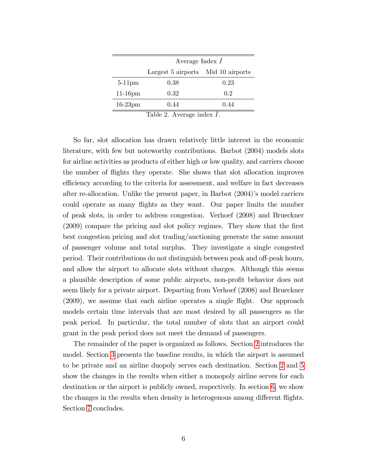|                              | Average Index $I$                  |      |  |  |  |
|------------------------------|------------------------------------|------|--|--|--|
|                              | Largest 5 airports Mid 10 airports |      |  |  |  |
| $5-11$ pm                    | 0.38                               | 0.23 |  |  |  |
| $11-16$ pm                   | 0.32                               | 0.2  |  |  |  |
| $16-23$ pm                   | 0.44                               | 0.44 |  |  |  |
| Table 2. Average index $I$ . |                                    |      |  |  |  |

So far, slot allocation has drawn relatively little interest in the economic literature, with few but noteworthy contributions. Barbot (2004) models slots for airline activities as products of either high or low quality, and carriers choose the number of áights they operate. She shows that slot allocation improves efficiency according to the criteria for assessment, and welfare in fact decreases after re-allocation. Unlike the present paper, in Barbot  $(2004)$ 's model carriers could operate as many áights as they want. Our paper limits the number of peak slots, in order to address congestion. Verhoef (2008) and Brueckner (2009) compare the pricing and slot policy regimes. They show that the first best congestion pricing and slot trading/auctioning generate the same amount of passenger volume and total surplus. They investigate a single congested period. Their contributions do not distinguish between peak and off-peak hours, and allow the airport to allocate slots without charges. Although this seems a plausible description of some public airports, non-profit behavior does not seem likely for a private airport. Departing from Verhoef (2008) and Brueckner  $(2009)$ , we assume that each airline operates a single flight. Our approach models certain time intervals that are most desired by all passengers as the peak period. In particular, the total number of slots that an airport could grant in the peak period does not meet the demand of passengers.

The remainder of the paper is organized as follows. Section [2](#page-7-0) introduces the model. Section [3](#page-12-0) presents the baseline results, in which the airport is assumed to be private and an airline duopoly serves each destination. Section [2](#page-22-0) and [5](#page-22-1) show the changes in the results when either a monopoly airline serves for each destination or the airport is publicly owned, respectively. In section [6,](#page-25-0) we show the changes in the results when density is heterogenous among different flights. Section [7](#page-30-0) concludes.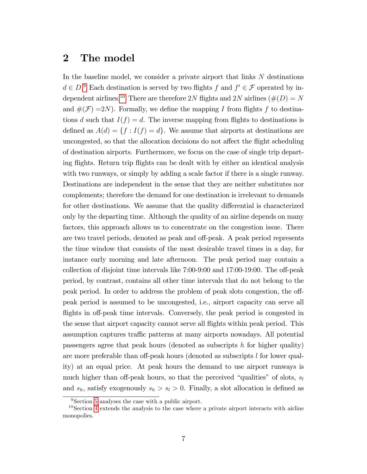## <span id="page-7-0"></span>2 The model

In the baseline model, we consider a private airport that links N destinations  $d \in D$ .<sup>[9](#page-7-1)</sup> Each destination is served by two flights f and  $f' \in \mathcal{F}$  operated by in-dependent airlines.<sup>[10](#page-7-2)</sup> There are therefore 2N flights and 2N airlines ( $\#(D) = N$ and  $\#(\mathcal{F})=2N$ ). Formally, we define the mapping I from flights f to destinations d such that  $I(f) = d$ . The inverse mapping from flights to destinations is defined as  $A(d) = \{f : I(f) = d\}$ . We assume that airports at destinations are uncongested, so that the allocation decisions do not affect the flight scheduling of destination airports. Furthermore, we focus on the case of single trip departing flights. Return trip flights can be dealt with by either an identical analysis with two runways, or simply by adding a scale factor if there is a single runway. Destinations are independent in the sense that they are neither substitutes nor complements; therefore the demand for one destination is irrelevant to demands for other destinations. We assume that the quality differential is characterized only by the departing time. Although the quality of an airline depends on many factors, this approach allows us to concentrate on the congestion issue. There are two travel periods, denoted as peak and off-peak. A peak period represents the time window that consists of the most desirable travel times in a day, for instance early morning and late afternoon. The peak period may contain a collection of disjoint time intervals like  $7:00-9:00$  and  $17:00-19:00$ . The off-peak period, by contrast, contains all other time intervals that do not belong to the peak period. In order to address the problem of peak slots congestion, the offpeak period is assumed to be uncongested, i.e., airport capacity can serve all flights in off-peak time intervals. Conversely, the peak period is congested in the sense that airport capacity cannot serve all áights within peak period. This assumption captures traffic patterns at many airports nowadays. All potential passengers agree that peak hours (denoted as subscripts  $h$  for higher quality) are more preferable than off-peak hours (denoted as subscripts  $l$  for lower quality) at an equal price. At peak hours the demand to use airport runways is much higher than off-peak hours, so that the perceived "qualities" of slots,  $s_l$ and  $s_h$ , satisfy exogenously  $s_h > s_l > 0$ . Finally, a slot allocation is defined as

<span id="page-7-2"></span><span id="page-7-1"></span><sup>&</sup>lt;sup>9</sup>Section [5](#page-22-1) analyses the case with a public airport.

<sup>10</sup>Section [4](#page-20-0) extends the analysis to the case where a private airport interacts with airline monopolies.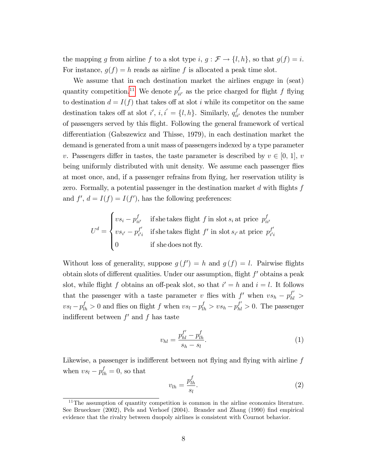the mapping g from airline f to a slot type i,  $g : \mathcal{F} \to \{l, h\}$ , so that  $g(f) = i$ . For instance,  $g(f) = h$  reads as airline f is allocated a peak time slot.

We assume that in each destination market the airlines engage in (seat) quantity competition.<sup>[11](#page-8-0)</sup> We denote  $p_{ii'}^f$  as the price charged for flight f flying to destination  $d = I(f)$  that takes off at slot i while its competitor on the same destination takes off at slot  $i'$ ,  $i, i' = \{l, h\}$ . Similarly,  $q_{ii'}^f$  denotes the number of passengers served by this áight. Following the general framework of vertical differentiation (Gabszewicz and Thisse, 1979), in each destination market the demand is generated from a unit mass of passengers indexed by a type parameter v. Passengers differ in tastes, the taste parameter is described by  $v \in [0, 1], v$ being uniformly distributed with unit density. We assume each passenger flies at most once, and, if a passenger refrains from áying, her reservation utility is zero. Formally, a potential passenger in the destination market  $d$  with flights  $f$ and  $f'$ ,  $d = I(f) = I(f')$ , has the following preferences:

$$
U^{d} = \begin{cases} vs_{i} - p_{ii'}^{f} & \text{if she takes flight } f \text{ in slot } s_{i} \text{ at price } p_{ii'}^{f} \\ vs_{i'} - p_{i'i}^{f'} & \text{if she takes flight } f' \text{ in slot } s_{i'} \text{ at price } p_{i'i}^{f'} \\ 0 & \text{if she does not fly.} \end{cases}
$$

Without loss of generality, suppose  $g(f') = h$  and  $g(f) = l$ . Pairwise flights obtain slots of different qualities. Under our assumption, flight  $f'$  obtains a peak slot, while flight f obtains an off-peak slot, so that  $i' = h$  and  $i = l$ . It follows that the passenger with a taste parameter v flies with  $f'$  when  $vs_h - p_{hl}^{f'} >$  $vs_l - p_{lh}^f > 0$  and flies on flight f when  $vs_l - p_{lh}^f > vs_h - p_{hl}^{f'} > 0$ . The passenger indifferent between  $f'$  and  $f$  has taste

<span id="page-8-1"></span>
$$
v_{hl} = \frac{p_{hl}^{f'} - p_{lh}^f}{s_h - s_l}.
$$
\n(1)

Likewise, a passenger is indifferent between not flying and flying with airline  $f$ when  $vs_l - p_{lh}^f = 0$ , so that

<span id="page-8-2"></span>
$$
v_{lh} = \frac{p_{lh}^f}{s_l}.\tag{2}
$$

<span id="page-8-0"></span> $11$ The assumption of quantity competition is common in the airline economics literature. See Brueckner (2002), Pels and Verhoef (2004). Brander and Zhang (1990) find empirical evidence that the rivalry between duopoly airlines is consistent with Cournot behavior.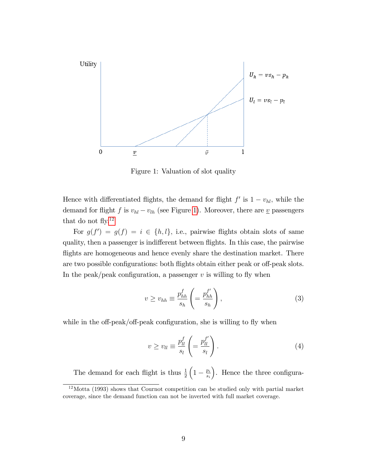

<span id="page-9-0"></span>Figure 1: Valuation of slot quality

Hence with differentiated flights, the demand for flight  $f'$  is  $1 - v_{hl}$ , while the demand for flight f is  $v_{hl} - v_{lh}$  (see Figure [1\)](#page-9-0). Moreover, there are  $\underline{v}$  passengers that do not fly. $12$ 

For  $g(f') = g(f) = i \in \{h, l\}$ , i.e., pairwise flights obtain slots of same quality, then a passenger is indifferent between flights. In this case, the pairwise flights are homogeneous and hence evenly share the destination market. There are two possible configurations: both flights obtain either peak or off-peak slots. In the peak/peak configuration, a passenger  $v$  is willing to fly when

<span id="page-9-2"></span>
$$
v \ge v_{hh} \equiv \frac{p_{hh}^f}{s_h} \left( = \frac{p_{hh}^{f'}}{s_h} \right),\tag{3}
$$

while in the off-peak/off-peak configuration, she is willing to fly when

<span id="page-9-3"></span>
$$
v \ge v_{ll} \equiv \frac{p_{ll}^f}{s_l} \left( = \frac{p_{ll}^{f'}}{s_l} \right). \tag{4}
$$

The demand for each flight is thus  $\frac{1}{2}$  $\left(1-\frac{p_i}{s_i}\right)$ si ). Hence the three configura-

<span id="page-9-1"></span><sup>12</sup>Motta (1993) shows that Cournot competition can be studied only with partial market coverage, since the demand function can not be inverted with full market coverage.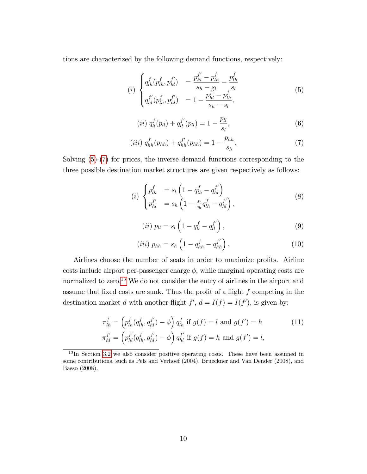tions are characterized by the following demand functions, respectively:

<span id="page-10-0"></span>
$$
(i) \begin{cases} q_{lh}^f(p_{lh}^f, p_{hl}^{f'}) = \frac{p_{hl}^{f'} - p_{lh}^f}{s_h - s_l} - \frac{p_{lh}^f}{s_l} \\ q_{hl}^{f'}(p_{lh}^f, p_{hl}^{f'}) = 1 - \frac{p_{hl}^{f'} - p_{lh}^f}{s_h - s_l}, \end{cases}
$$
\n
$$
(5)
$$

$$
(ii) q_l^f(p_{ll}) + q_{ll}^{f'}(p_{ll}) = 1 - \frac{p_{ll}}{s_l}, \qquad (6)
$$

<span id="page-10-1"></span>
$$
(iii) \; q_{hh}^f(p_{hh}) + q_{hh}^{f'}(p_{hh}) = 1 - \frac{p_{hh}}{s_h}.\tag{7}
$$

Solving [\(5\)](#page-10-0)-[\(7\)](#page-10-1) for prices, the inverse demand functions corresponding to the three possible destination market structures are given respectively as follows:

<span id="page-10-4"></span>
$$
(i) \begin{cases} p_{lh}^f &= s_l \left( 1 - q_{lh}^f - q_{hl}^{f'} \right) \\ p_{hl}^{f'} &= s_h \left( 1 - \frac{s_l}{s_h} q_{lh}^f - q_{hl}^{f'} \right), \end{cases} \tag{8}
$$

$$
(ii) \ p_{ll} = s_l \left( 1 - q_{ll}^f - q_{ll}^{f'} \right), \tag{9}
$$

<span id="page-10-5"></span><span id="page-10-3"></span>
$$
(iii) p_{hh} = s_h \left( 1 - q_{hh}^f - q_{hh}^{f'} \right). \tag{10}
$$

Airlines choose the number of seats in order to maximize profits. Airline costs include airport per-passenger charge  $\phi$ , while marginal operating costs are normalized to zero.<sup>[13](#page-10-2)</sup> We do not consider the entry of airlines in the airport and assume that fixed costs are sunk. Thus the profit of a flight  $f$  competing in the destination market d with another flight  $f'$ ,  $d = I(f) = I(f')$ , is given by:

$$
\pi_{lh}^f = \left(p_{lh}^f(q_{lh}^f, q_{hl}^{f'}) - \phi\right) q_{lh}^f \text{ if } g(f) = l \text{ and } g(f') = h
$$
\n
$$
\pi_{hl}^{f'} = \left(p_{hl}^{f'}(q_{lh}^f, q_{hl}^{f'}) - \phi\right) q_{hl}^{f'} \text{ if } g(f) = h \text{ and } g(f') = l,
$$
\n(11)

<span id="page-10-2"></span><sup>&</sup>lt;sup>13</sup>In Section [3.2](#page-14-0) we also consider positive operating costs. These have been assumed in some contributions, such as Pels and Verhoef (2004), Brueckner and Van Dender (2008), and Basso (2008).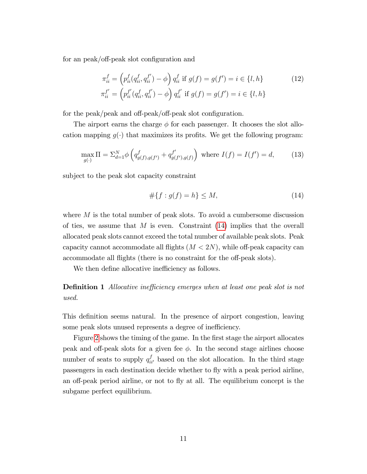for an peak/off-peak slot configuration and

$$
\pi_{ii}^f = \left(p_{ii}^f(q_{ii}^f, q_{ii}^{f'}) - \phi\right) q_{ii}^f \text{ if } g(f) = g(f') = i \in \{l, h\}
$$
\n
$$
\pi_{ii}^{f'} = \left(p_{ii}^{f'}(q_{ii}^f, q_{ii}^{f'}) - \phi\right) q_{ii}^{f'} \text{ if } g(f) = g(f') = i \in \{l, h\}
$$
\n
$$
(12)
$$

for the peak/peak and off-peak/off-peak slot configuration.

The airport earns the charge  $\phi$  for each passenger. It chooses the slot allocation mapping  $q(\cdot)$  that maximizes its profits. We get the following program:

<span id="page-11-2"></span>
$$
\max_{g(\cdot)} \Pi = \sum_{d=1}^{N} \phi \left( q_{g(f),g(f')}^{f} + q_{g(f'),g(f)}^{f'} \right) \text{ where } I(f) = I(f') = d,\tag{13}
$$

subject to the peak slot capacity constraint

<span id="page-11-1"></span><span id="page-11-0"></span>
$$
#{f: g(f) = h} \le M,\t(14)
$$

where  $M$  is the total number of peak slots. To avoid a cumbersome discussion of ties, we assume that  $M$  is even. Constraint  $(14)$  implies that the overall allocated peak slots cannot exceed the total number of available peak slots. Peak capacity cannot accommodate all flights  $(M < 2N)$ , while off-peak capacity can accommodate all flights (there is no constraint for the off-peak slots).

We then define allocative inefficiency as follows.

**Definition 1** Allocative inefficiency emerges when at least one peak slot is not used.

This definition seems natural. In the presence of airport congestion, leaving some peak slots unused represents a degree of inefficiency.

Figure [2](#page-12-1) shows the timing of the game. In the first stage the airport allocates peak and off-peak slots for a given fee  $\phi$ . In the second stage airlines choose number of seats to supply  $q_{ii'}^f$  based on the slot allocation. In the third stage passengers in each destination decide whether to fly with a peak period airline, an off-peak period airline, or not to fly at all. The equilibrium concept is the subgame perfect equilibrium.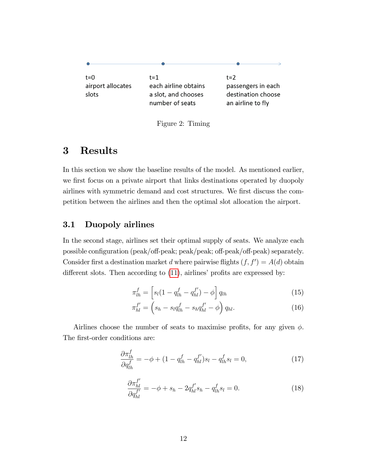

<span id="page-12-1"></span>Figure 2: Timing

## <span id="page-12-0"></span>3 Results

In this section we show the baseline results of the model. As mentioned earlier, we first focus on a private airport that links destinations operated by duopoly airlines with symmetric demand and cost structures. We first discuss the competition between the airlines and then the optimal slot allocation the airport.

## 3.1 Duopoly airlines

In the second stage, airlines set their optimal supply of seats. We analyze each possible configuration (peak/off-peak; peak/peak; off-peak/off-peak) separately. Consider first a destination market d where pairwise flights  $(f, f') = A(d)$  obtain different slots. Then according to  $(11)$ , airlines' profits are expressed by:

<span id="page-12-4"></span>
$$
\pi_{lh}^f = \left[ s_l (1 - q_{lh}^f - q_{hl}^{f'}) - \phi \right] q_{lh}
$$
\n(15)

<span id="page-12-5"></span>
$$
\pi_{hl}^{f'} = \left(s_h - s_l q_{lh}^f - s_h q_{hl}^{f'} - \phi\right) q_{hl}.\tag{16}
$$

Airlines choose the number of seats to maximise profits, for any given  $\phi$ . The first-order conditions are:

<span id="page-12-2"></span>
$$
\frac{\partial \pi_{lh}^f}{\partial q_{lh}^f} = -\phi + (1 - q_{lh}^f - q_{hl}^{f'})s_l - q_{lh}^f s_l = 0,\tag{17}
$$

<span id="page-12-3"></span>
$$
\frac{\partial \pi_{hl}^{f'}}{\partial q_{hl}^{f'}} = -\phi + s_h - 2q_{hl}^{f'} s_h - q_{lh}^f s_l = 0.
$$
 (18)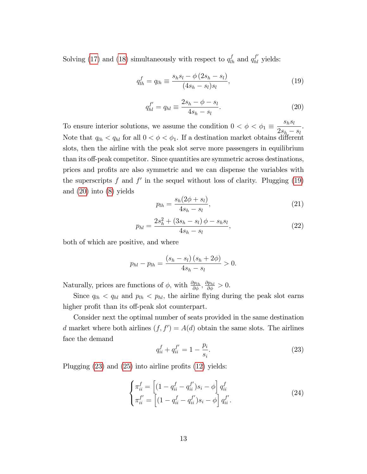Solving [\(17\)](#page-12-2) and [\(18\)](#page-12-3) simultaneously with respect to  $q_{lh}^f$  and  $q_{hl}^{f'}$  yields:

<span id="page-13-0"></span>
$$
q_{lh}^f = q_{lh} \equiv \frac{s_h s_l - \phi (2s_h - s_l)}{(4s_h - s_l)s_l},
$$
\n(19)

<span id="page-13-1"></span>
$$
q_{hl}^{f'} = q_{hl} \equiv \frac{2s_h - \phi - s_l}{4s_h - s_l}.
$$
 (20)

To ensure interior solutions, we assume the condition  $0 < \phi < \phi_1 \equiv$  $s_h s_l$  $2s_h - s_l$ . Note that  $q_{lh} < q_{hl}$  for all  $0 < \phi < \phi_1$ . If a destination market obtains different slots, then the airline with the peak slot serve more passengers in equilibrium than its off-peak competitor. Since quantities are symmetric across destinations, prices and profits are also symmetric and we can dispense the variables with the superscripts f and  $f'$  in the sequel without loss of clarity. Plugging  $(19)$ and [\(20\)](#page-13-1) into [\(8\)](#page-10-4) yields

<span id="page-13-4"></span>
$$
p_{lh} = \frac{s_h (2\phi + s_l)}{4s_h - s_l},
$$
\n(21)

<span id="page-13-5"></span>
$$
p_{hl} = \frac{2s_h^2 + (3s_h - s_l)\phi - s_h s_l}{4s_h - s_l},\tag{22}
$$

both of which are positive, and where

$$
p_{hl} - p_{lh} = \frac{(s_h - s_l)(s_h + 2\phi)}{4s_h - s_l} > 0.
$$

Naturally, prices are functions of  $\phi$ , with  $\frac{\partial p_{lh}}{\partial \phi}$ ,  $\frac{\partial p_{hl}}{\partial \phi} > 0$ .

Since  $q_{lh} < q_{hl}$  and  $p_{lh} < p_{hl}$ , the airline flying during the peak slot earns higher profit than its off-peak slot counterpart.

Consider next the optimal number of seats provided in the same destination d market where both airlines  $(f, f') = A(d)$  obtain the same slots. The airlines face the demand

<span id="page-13-2"></span>
$$
q_{ii}^f + q_{ii}^{f'} = 1 - \frac{p_i}{s_i}.\tag{23}
$$

Plugging  $(23)$  and  $(25)$  into airline profits  $(12)$  yields:

<span id="page-13-3"></span>
$$
\begin{cases}\n\pi_{ii}^f = \left[ (1 - q_{ii}^f - q_{ii}^{f'}) s_i - \phi \right] q_{ii}^f \\
\pi_{ii}^{f'} = \left[ (1 - q_{ii}^f - q_{ii}^{f'}) s_i - \phi \right] q_{ii}^{f'}.\n\end{cases}
$$
\n(24)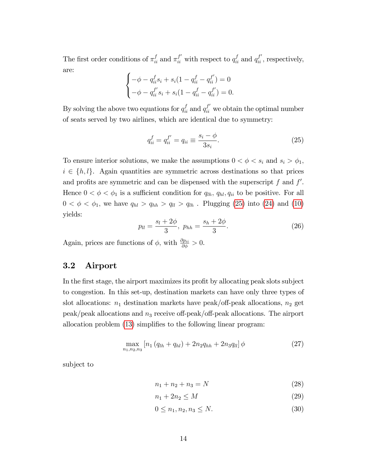The first order conditions of  $\pi_{ii}^f$  and  $\pi_{ii}^{f'}$  with respect to  $q_{ii}^f$  and  $q_{ii}^{f'}$ , respectively, are:  $\epsilon$ 

$$
\begin{cases}\n-\phi - q_{ii}^f s_i + s_i (1 - q_{ii}^f - q_{ii}^{f'}) = 0 \\
-\phi - q_{ii}^{f'} s_i + s_i (1 - q_{ii}^f - q_{ii}^{f'}) = 0.\n\end{cases}
$$

By solving the above two equations for  $q_{ii}^f$  and  $q_{ii}^{f'}$  we obtain the optimal number of seats served by two airlines, which are identical due to symmetry:

<span id="page-14-1"></span>
$$
q_{ii}^f = q_{ii}^{f'} = q_{ii} \equiv \frac{s_i - \phi}{3s_i}.
$$
\n
$$
(25)
$$

To ensure interior solutions, we make the assumptions  $0 < \phi < s_i$  and  $s_i > \phi_1$ ,  $i \in \{h, l\}$ . Again quantities are symmetric across destinations so that prices and profits are symmetric and can be dispensed with the superscript  $f$  and  $f'$ . Hence  $0 < \phi < \phi_1$  is a sufficient condition for  $q_{lh}$ ,  $q_{hl}$ ,  $q_{ii}$  to be positive. For all  $0 < \phi < \phi_1$ , we have  $q_{hl} > q_{hh} > q_{ll} > q_{lh}$ . Plugging [\(25\)](#page-14-1) into [\(24\)](#page-13-3) and [\(10\)](#page-10-5) yields:

<span id="page-14-5"></span>
$$
p_{ll} = \frac{s_l + 2\phi}{3}, \ p_{hh} = \frac{s_h + 2\phi}{3}.
$$
 (26)

Again, prices are functions of  $\phi$ , with  $\frac{\partial p_{ii}}{\partial \phi} > 0$ .

## <span id="page-14-0"></span>3.2 Airport

In the first stage, the airport maximizes its profit by allocating peak slots subject to congestion. In this set-up, destination markets can have only three types of slot allocations:  $n_1$  destination markets have peak/off-peak allocations,  $n_2$  get  $peak/peak$  allocations and  $n_3$  receive off-peak/off-peak allocations. The airport allocation problem  $(13)$  simplifies to the following linear program:

<span id="page-14-4"></span>
$$
\max_{n_1, n_2, n_3} \left[ n_1 \left( q_{lh} + q_{hl} \right) + 2n_2 q_{hh} + 2n_3 q_{ll} \right] \phi \tag{27}
$$

subject to

<span id="page-14-3"></span><span id="page-14-2"></span>
$$
n_1 + n_2 + n_3 = N \tag{28}
$$

$$
n_1 + 2n_2 \le M \tag{29}
$$

$$
0 \le n_1, n_2, n_3 \le N. \tag{30}
$$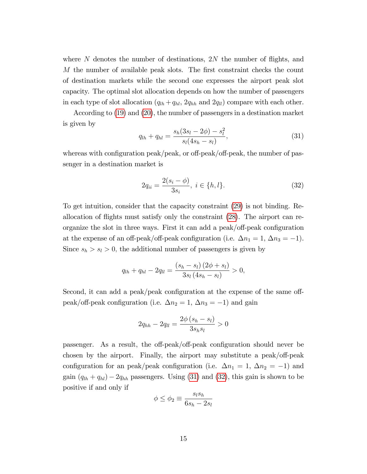where  $N$  denotes the number of destinations,  $2N$  the number of flights, and M the number of available peak slots. The first constraint checks the count of destination markets while the second one expresses the airport peak slot capacity. The optimal slot allocation depends on how the number of passengers in each type of slot allocation  $(q_{lh} + q_{hl}, 2q_{hh}$  and  $2q_{ll})$  compare with each other.

According to [\(19\)](#page-13-0) and [\(20\)](#page-13-1), the number of passengers in a destination market is given by

<span id="page-15-0"></span>
$$
q_{lh} + q_{hl} = \frac{s_h(3s_l - 2\phi) - s_l^2}{s_l(4s_h - s_l)},
$$
\n(31)

whereas with configuration peak/peak, or off-peak/off-peak, the number of passenger in a destination market is

<span id="page-15-1"></span>
$$
2q_{ii} = \frac{2(s_i - \phi)}{3s_i}, \ i \in \{h, l\}.
$$
\n(32)

To get intuition, consider that the capacity constraint [\(29\)](#page-14-2) is not binding. Reallocation of áights must satisfy only the constraint [\(28\)](#page-14-3). The airport can reorganize the slot in three ways. First it can add a peak/off-peak configuration at the expense of an off-peak/off-peak configuration (i.e.  $\Delta n_1 = 1, \Delta n_3 = -1$ ). Since  $s_h > s_l > 0$ , the additional number of passengers is given by

$$
q_{lh} + q_{hl} - 2q_{ll} = \frac{(s_h - s_l)(2\phi + s_l)}{3s_l(4s_h - s_l)} > 0,
$$

Second, it can add a peak/peak configuration at the expense of the same offpeak/off-peak configuration (i.e.  $\Delta n_2 = 1$ ,  $\Delta n_3 = -1$ ) and gain

$$
2q_{hh} - 2q_{ll} = \frac{2\phi(s_h - s_l)}{3s_h s_l} > 0
$$

passenger. As a result, the off-peak/off-peak configuration should never be chosen by the airport. Finally, the airport may substitute a peak/off-peak configuration for an peak/peak configuration (i.e.  $\Delta n_1 = 1, \Delta n_2 = -1$ ) and gain  $(q_{lh} + q_{hl}) - 2q_{hh}$  passengers. Using [\(31\)](#page-15-0) and [\(32\)](#page-15-1), this gain is shown to be positive if and only if

$$
\phi \le \phi_2 \equiv \frac{s_l s_h}{6s_h - 2s_l}
$$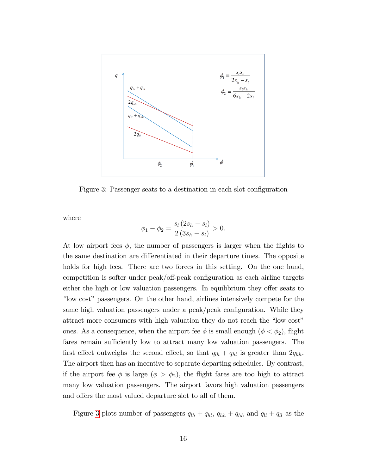

<span id="page-16-0"></span>Figure 3: Passenger seats to a destination in each slot configuration

where

$$
\phi_1 - \phi_2 = \frac{s_l (2s_h - s_l)}{2 (3s_h - s_l)} > 0.
$$

At low airport fees  $\phi$ , the number of passengers is larger when the flights to the same destination are differentiated in their departure times. The opposite holds for high fees. There are two forces in this setting. On the one hand, competition is softer under peak/off-peak configuration as each airline targets either the high or low valuation passengers. In equilibrium they offer seats to "low cost" passengers. On the other hand, airlines intensively compete for the same high valuation passengers under a peak/peak configuration. While they attract more consumers with high valuation they do not reach the "low cost" ones. As a consequence, when the airport fee  $\phi$  is small enough  $(\phi < \phi_2)$ , flight fares remain sufficiently low to attract many low valuation passengers. The first effect outweighs the second effect, so that  $q_{lh} + q_{hl}$  is greater than  $2q_{hh}$ . The airport then has an incentive to separate departing schedules. By contrast, if the airport fee  $\phi$  is large  $(\phi > \phi_2)$ , the flight fares are too high to attract many low valuation passengers. The airport favors high valuation passengers and offers the most valued departure slot to all of them.

Figure [3](#page-16-0) plots number of passengers  $q_{lh} + q_{hl}$ ,  $q_{hh} + q_{hh}$  and  $q_{ll} + q_{ll}$  as the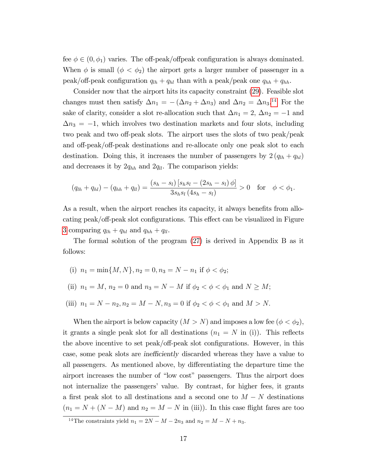fee  $\phi \in (0, \phi_1)$  varies. The off-peak/offpeak configuration is always dominated. When  $\phi$  is small  $(\phi < \phi_2)$  the airport gets a larger number of passenger in a peak/off-peak configuration  $q_{lh} + q_{hl}$  than with a peak/peak one  $q_{hh} + q_{hh}$ .

Consider now that the airport hits its capacity constraint [\(29\)](#page-14-2). Feasible slot changes must then satisfy  $\Delta n_1 = -(\Delta n_2 + \Delta n_3)$  and  $\Delta n_2 = \Delta n_3$ <sup>[14](#page-17-0)</sup> For the sake of clarity, consider a slot re-allocation such that  $\Delta n_1 = 2$ ,  $\Delta n_2 = -1$  and  $\Delta n_3 = -1$ , which involves two destination markets and four slots, including two peak and two off-peak slots. The airport uses the slots of two peak/peak and off-peak/off-peak destinations and re-allocate only one peak slot to each destination. Doing this, it increases the number of passengers by  $2 (q_{lh} + q_{hl})$ and decreases it by  $2q_{hh}$  and  $2q_{ll}$ . The comparison yields:

$$
(q_{lh} + q_{hl}) - (q_{hh} + q_{ll}) = \frac{(s_h - s_l) [s_h s_l - (2s_h - s_l) \phi]}{3s_h s_l (4s_h - s_l)} > 0 \text{ for } \phi < \phi_1.
$$

As a result, when the airport reaches its capacity, it always benefits from allocating peak/off-peak slot configurations. This effect can be visualized in Figure [3](#page-16-0) comparing  $q_{lh} + q_{hl}$  and  $q_{hh} + q_{ll}$ .

The formal solution of the program [\(27\)](#page-14-4) is derived in Appendix B as it follows:

(i) 
$$
n_1 = \min\{M, N\}, n_2 = 0, n_3 = N - n_1
$$
 if  $\phi < \phi_2$ ;

(ii) 
$$
n_1 = M
$$
,  $n_2 = 0$  and  $n_3 = N - M$  if  $\phi_2 < \phi < \phi_1$  and  $N \geq M$ ;

(iii)  $n_1 = N - n_2, n_2 = M - N, n_3 = 0$  if  $\phi_2 < \phi < \phi_1$  and  $M > N$ .

When the airport is below capacity  $(M > N)$  and imposes a low fee  $(\phi < \phi_2)$ , it grants a single peak slot for all destinations  $(n_1 = N \text{ in } (i))$ . This reflects the above incentive to set peak/off-peak slot configurations. However, in this case, some peak slots are *inefficiently* discarded whereas they have a value to all passengers. As mentioned above, by differentiating the departure time the airport increases the number of "low cost" passengers. Thus the airport does not internalize the passengers' value. By contrast, for higher fees, it grants a first peak slot to all destinations and a second one to  $M - N$  destinations  $(n_1 = N + (N - M)$  and  $n_2 = M - N$  in (iii)). In this case flight fares are too

<span id="page-17-0"></span><sup>&</sup>lt;sup>14</sup>The constraints yield  $n_1 = 2N - M - 2n_3$  and  $n_2 = M - N + n_3$ .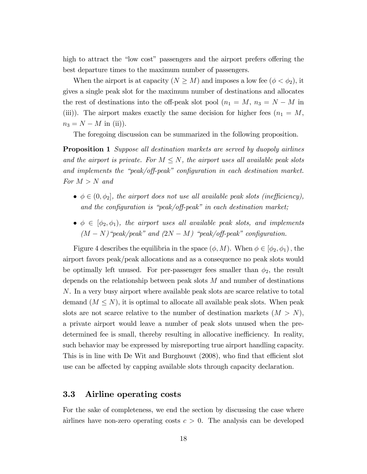high to attract the "low cost" passengers and the airport prefers offering the best departure times to the maximum number of passengers.

When the airport is at capacity  $(N \geq M)$  and imposes a low fee  $(\phi < \phi_2)$ , it gives a single peak slot for the maximum number of destinations and allocates the rest of destinations into the off-peak slot pool  $(n_1 = M, n_3 = N - M)$  in (iii)). The airport makes exactly the same decision for higher fees  $(n_1 = M,$  $n_3 = N - M$  in (ii)).

The foregoing discussion can be summarized in the following proposition.

Proposition 1 Suppose all destination markets are served by duopoly airlines and the airport is private. For  $M \leq N$ , the airport uses all available peak slots and implements the "peak/off-peak" configuration in each destination market. For  $M > N$  and

- $\phi \in (0, \phi_2]$ , the airport does not use all available peak slots (inefficiency), and the configuration is "peak/off-peak" in each destination market;
- $\bullet \phi \in [\phi_2, \phi_1]$ , the airport uses all available peak slots, and implements  $(M - N)$ <sup>"</sup>peak/peak" and  $(2N - M)$  "peak/off-peak" configuration.

Figure 4 describes the equilibria in the space  $(\phi, M)$ . When  $\phi \in [\phi_2, \phi_1)$ , the airport favors peak/peak allocations and as a consequence no peak slots would be optimally left unused. For per-passenger fees smaller than  $\phi_2$ , the result depends on the relationship between peak slots  $M$  and number of destinations N. In a very busy airport where available peak slots are scarce relative to total demand  $(M \leq N)$ , it is optimal to allocate all available peak slots. When peak slots are not scarce relative to the number of destination markets  $(M > N)$ , a private airport would leave a number of peak slots unused when the predetermined fee is small, thereby resulting in allocative inefficiency. In reality, such behavior may be expressed by misreporting true airport handling capacity. This is in line with De Wit and Burghouwt (2008), who find that efficient slot use can be affected by capping available slots through capacity declaration.

## 3.3 Airline operating costs

For the sake of completeness, we end the section by discussing the case where airlines have non-zero operating costs  $c > 0$ . The analysis can be developed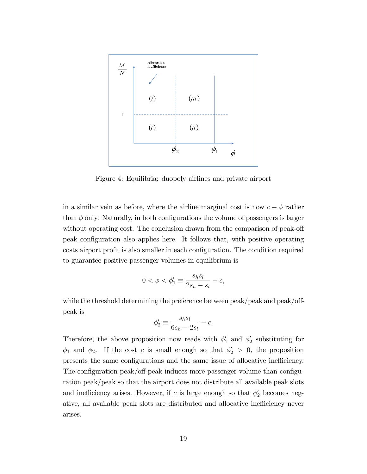

Figure 4: Equilibria: duopoly airlines and private airport

in a similar vein as before, where the airline marginal cost is now  $c + \phi$  rather than  $\phi$  only. Naturally, in both configurations the volume of passengers is larger without operating cost. The conclusion drawn from the comparison of peak-off peak configuration also applies here. It follows that, with positive operating costs airport profit is also smaller in each configuration. The condition required to guarantee positive passenger volumes in equilibrium is

$$
0 < \phi < \phi_1' \equiv \frac{s_h s_l}{2s_h - s_l} - c,
$$

while the threshold determining the preference between peak/peak and  $peak/off$ peak is

$$
\phi_2' \equiv \frac{s_h s_l}{6s_h - 2s_l} - c.
$$

Therefore, the above proposition now reads with  $\phi'_1$  and  $\phi'_2$  substituting for  $\phi_1$  and  $\phi_2$ . If the cost c is small enough so that  $\phi'_2 > 0$ , the proposition presents the same configurations and the same issue of allocative inefficiency. The configuration peak/off-peak induces more passenger volume than configuration peak/peak so that the airport does not distribute all available peak slots and inefficiency arises. However, if c is large enough so that  $\phi'_2$  becomes negative, all available peak slots are distributed and allocative inefficiency never arises.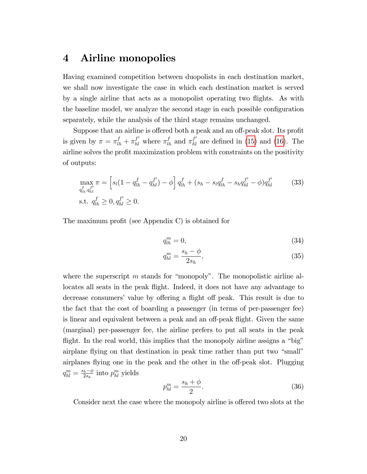## <span id="page-20-0"></span>4 Airline monopolies

Having examined competition between duopolists in each destination market, we shall now investigate the case in which each destination market is served by a single airline that acts as a monopolist operating two áights. As with the baseline model, we analyze the second stage in each possible configuration separately, while the analysis of the third stage remains unchanged.

Suppose that an airline is offered both a peak and an off-peak slot. Its profit is given by  $\pi = \pi_{lh}^f + \pi_{hl}^{f'}$  where  $\pi_{lh}^f$  and  $\pi_{hl}^{f'}$  are defined in [\(15\)](#page-12-4) and [\(16\)](#page-12-5). The airline solves the profit maximization problem with constraints on the positivity of outputs:

$$
\max_{q_{lh}^f, q_{hl}^{f'}} \pi = \left[ s_l (1 - q_{lh}^f - q_{hl}^{f'}) - \phi \right] q_{lh}^f + (s_h - s_l q_{lh}^f - s_h q_{hl}^{f'} - \phi) q_{hl}^{f'} \tag{33}
$$
  
s.t.  $q_{lh}^f \ge 0, q_{hl}^{f'} \ge 0.$ 

The maximum profit (see Appendix C) is obtained for

<span id="page-20-3"></span>
$$
q_{lh}^m = 0,\t\t(34)
$$

<span id="page-20-1"></span>
$$
q_{hl}^m = \frac{s_h - \phi}{2s_h},\tag{35}
$$

where the superscript  $m$  stands for "monopoly". The monopolistic airline allocates all seats in the peak flight. Indeed, it does not have any advantage to decrease consumers' value by offering a flight off peak. This result is due to the fact that the cost of boarding a passenger (in terms of per-passenger fee) is linear and equivalent between a peak and an off-peak flight. Given the same (marginal) per-passenger fee, the airline prefers to put all seats in the peak flight. In the real world, this implies that the monopoly airline assigns a "big" airplane flying on that destination in peak time rather than put two "small" airplanes flying one in the peak and the other in the off-peak slot. Plugging  $q_{hl}^m = \frac{s_h - \phi}{2s_h}$  into  $p_{hl}^m$  yields

<span id="page-20-2"></span>
$$
p_{hl}^m = \frac{s_h + \phi}{2}.\tag{36}
$$

Consider next the case where the monopoly airline is offered two slots at the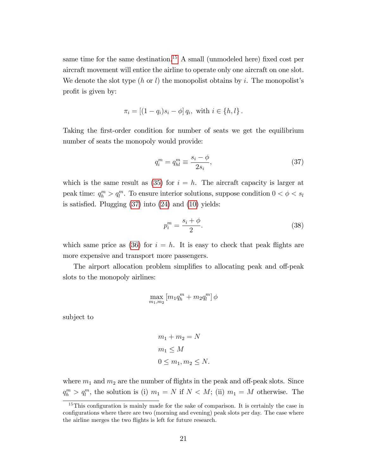same time for the same destination.<sup>[15](#page-21-0)</sup> A small (unmodeled here) fixed cost per aircraft movement will entice the airline to operate only one aircraft on one slot. We denote the slot type  $(h \text{ or } l)$  the monopolist obtains by i. The monopolist's profit is given by:

$$
\pi_i = [(1 - q_i)s_i - \phi] q_i, \text{ with } i \in \{h, l\}.
$$

Taking the first-order condition for number of seats we get the equilibrium number of seats the monopoly would provide:

<span id="page-21-1"></span>
$$
q_i^m = q_{hl}^m \equiv \frac{s_i - \phi}{2s_i},\tag{37}
$$

which is the same result as [\(35\)](#page-20-1) for  $i = h$ . The aircraft capacity is larger at peak time:  $q_h^m > q_l^m$ . To ensure interior solutions, suppose condition  $0 < \phi < s_l$ is satisfied. Plugging  $(37)$  into  $(24)$  and  $(10)$  yields:

<span id="page-21-2"></span>
$$
p_i^m = \frac{s_i + \phi}{2}.\tag{38}
$$

which same price as [\(36\)](#page-20-2) for  $i = h$ . It is easy to check that peak flights are more expensive and transport more passengers.

The airport allocation problem simplifies to allocating peak and off-peak slots to the monopoly airlines:

$$
\max_{m_1,m_2} \left[ m_1 q_h^m + m_2 q_l^m \right] \phi
$$

subject to

$$
m_1 + m_2 = N
$$
  
\n
$$
m_1 \le M
$$
  
\n
$$
0 \le m_1, m_2 \le N.
$$

where  $m_1$  and  $m_2$  are the number of flights in the peak and off-peak slots. Since  $q_l^m > q_l^m$ , the solution is (i)  $m_1 = N$  if  $N < M$ ; (ii)  $m_1 = M$  otherwise. The

<span id="page-21-0"></span> $15$ This configuration is mainly made for the sake of comparison. It is certainly the case in configurations where there are two (morning and evening) peak slots per day. The case where the airline merges the two flights is left for future research.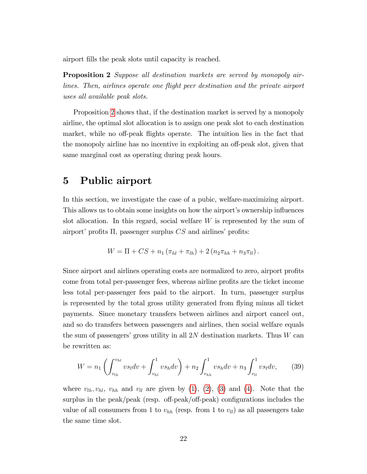<span id="page-22-0"></span>airport Ölls the peak slots until capacity is reached.

Proposition 2 Suppose all destination markets are served by monopoly airlines. Then, airlines operate one flight peer destination and the private airport uses all available peak slots.

Proposition [2](#page-22-0) shows that, if the destination market is served by a monopoly airline, the optimal slot allocation is to assign one peak slot to each destination market, while no off-peak flights operate. The intuition lies in the fact that the monopoly airline has no incentive in exploiting an off-peak slot, given that same marginal cost as operating during peak hours.

## <span id="page-22-1"></span>5 Public airport

In this section, we investigate the case of a pubic, welfare-maximizing airport. This allows us to obtain some insights on how the airport's ownership influences slot allocation. In this regard, social welfare  $W$  is represented by the sum of airport' profits  $\Pi$ , passenger surplus CS and airlines' profits:

$$
W = \Pi + CS + n_1 (\pi_{hl} + \pi_{lh}) + 2 (n_2 \pi_{hh} + n_3 \pi_{ll}).
$$

Since airport and airlines operating costs are normalized to zero, airport profits come from total per-passenger fees, whereas airline profits are the ticket income less total per-passenger fees paid to the airport. In turn, passenger surplus is represented by the total gross utility generated from flying minus all ticket payments. Since monetary transfers between airlines and airport cancel out, and so do transfers between passengers and airlines, then social welfare equals the sum of passengers' gross utility in all  $2N$  destination markets. Thus  $W$  can be rewritten as:

<span id="page-22-2"></span>
$$
W = n_1 \left( \int_{v_{lh}}^{v_{hl}} v s_l dv + \int_{v_{hl}}^1 v s_h dv \right) + n_2 \int_{v_{hh}}^1 v s_h dv + n_3 \int_{v_{ll}}^1 v s_l dv, \tag{39}
$$

where  $v_{lh}, v_{hl}, v_{hh}$  and  $v_{ll}$  are given by [\(1\)](#page-8-1), [\(2\)](#page-8-2), [\(3\)](#page-9-2) and [\(4\)](#page-9-3). Note that the surplus in the peak/peak (resp. off-peak/off-peak) configurations includes the value of all consumers from 1 to  $v_{hh}$  (resp. from 1 to  $v_{ll}$ ) as all passengers take the same time slot.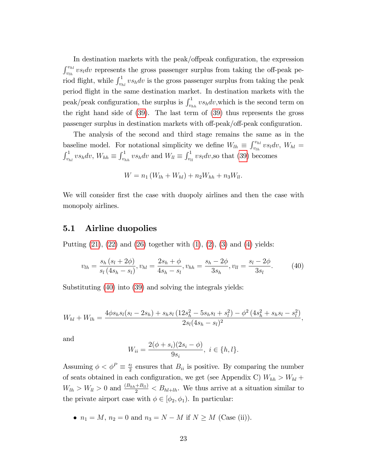In destination markets with the peak/offpeak configuration, the expression  $\int_{v_{lh}}^{v_{hl}} v_{sl} dv$  represents the gross passenger surplus from taking the off-peak period flight, while  $\int_{v_{hl}}^1 v s_h dv$  is the gross passenger surplus from taking the peak period áight in the same destination market. In destination markets with the peak/peak configuration, the surplus is  $\int_{v_{hh}}^1 v s_h dv$ , which is the second term on the right hand side of [\(39\)](#page-22-2). The last term of [\(39\)](#page-22-2) thus represents the gross passenger surplus in destination markets with off-peak/off-peak configuration.

The analysis of the second and third stage remains the same as in the baseline model. For notational simplicity we define  $W_{lh} \equiv \int_{v_{lh}}^{v_{hl}} v s_l dv$ ,  $W_{hl} =$  $\int_{v_{hl}}^1 v s_h dv$ ,  $W_{hh} \equiv \int_{v_{lh}}^1 v s_h dv$  and  $W_{ll} \equiv \int_{v_{ll}}^1 v s_l dv$ , so that [\(39\)](#page-22-2) becomes

$$
W = n_1 (W_{lh} + W_{hl}) + n_2 W_{hh} + n_3 W_{ll}.
$$

We will consider first the case with duopoly airlines and then the case with monopoly airlines.

#### 5.1 Airline duopolies

Putting  $(21)$ ,  $(22)$  and  $(26)$  together with  $(1)$ ,  $(2)$ ,  $(3)$  and  $(4)$  yields:

<span id="page-23-0"></span>
$$
v_{lh} = \frac{s_h (s_l + 2\phi)}{s_l (4s_h - s_l)}, v_{hl} = \frac{2s_h + \phi}{4s_h - s_l}, v_{hh} = \frac{s_h - 2\phi}{3s_h}, v_{ll} = \frac{s_l - 2\phi}{3s_l}.
$$
 (40)

Substituting [\(40\)](#page-23-0) into [\(39\)](#page-22-2) and solving the integrals yields:

$$
W_{hl} + W_{lh} = \frac{4\phi s_h s_l (s_l - 2s_h) + s_h s_l (12s_h^2 - 5s_h s_l + s_l^2) - \phi^2 (4s_h^2 + s_h s_l - s_l^2)}{2s_l (4s_h - s_l)^2},
$$

and

$$
W_{ii} = \frac{2(\phi + s_i)(2s_i - \phi)}{9s_i}, \ i \in \{h, l\}.
$$

Assuming  $\phi < \phi^P \equiv \frac{s_l}{2}$  $\frac{s_l}{2}$  ensures that  $B_{ii}$  is positive. By comparing the number of seats obtained in each configuration, we get (see Appendix C)  $W_{hh} > W_{hl}$  +  $W_{lh} > W_{ll} > 0$  and  $\frac{(B_{hh} + B_{ll})}{2} < B_{hl+lh}$ . We thus arrive at a situation similar to the private airport case with  $\phi \in [\phi_2, \phi_1]$ . In particular:

•  $n_1 = M$ ,  $n_2 = 0$  and  $n_3 = N - M$  if  $N \ge M$  (Case (ii)).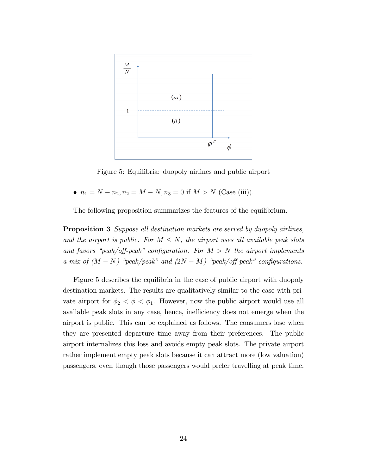

Figure 5: Equilibria: duopoly airlines and public airport

•  $n_1 = N - n_2, n_2 = M - N, n_3 = 0$  if  $M > N$  (Case (iii)).

The following proposition summarizes the features of the equilibrium.

**Proposition 3** Suppose all destination markets are served by duopoly airlines, and the airport is public. For  $M \leq N$ , the airport uses all available peak slots and favors "peak/off-peak" configuration. For  $M > N$  the airport implements a mix of  $(M - N)$  "peak/peak" and  $(2N - M)$  "peak/off-peak" configurations.

Figure 5 describes the equilibria in the case of public airport with duopoly destination markets. The results are qualitatively similar to the case with private airport for  $\phi_2 < \phi < \phi_1$ . However, now the public airport would use all available peak slots in any case, hence, inefficiency does not emerge when the airport is public. This can be explained as follows. The consumers lose when they are presented departure time away from their preferences. The public airport internalizes this loss and avoids empty peak slots. The private airport rather implement empty peak slots because it can attract more (low valuation) passengers, even though those passengers would prefer travelling at peak time.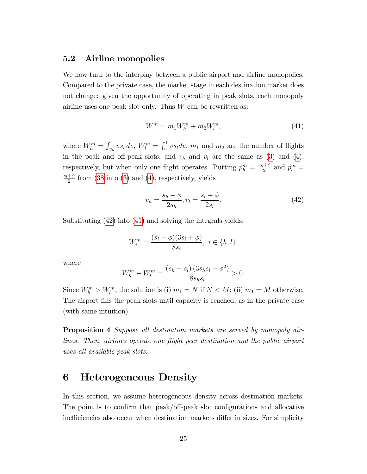#### 5.2 Airline monopolies

We now turn to the interplay between a public airport and airline monopolies. Compared to the private case, the market stage in each destination market does not change: given the opportunity of operating in peak slots, each monopoly airline uses one peak slot only. Thus  $W$  can be rewritten as:

<span id="page-25-2"></span>
$$
W^{m} = m_{1}W_{h}^{m} + m_{2}W_{l}^{m}, \qquad (41)
$$

where  $W_h^m = \int_{v_h}^1 v s_h dv$ ,  $W_l^m = \int_{v_l}^1 v s_l dv$ ,  $m_1$  and  $m_2$  are the number of flights in the peak and off-peak slots, and  $v_h$  and  $v_l$  are the same as [\(3\)](#page-9-2) and [\(4\)](#page-9-3), respectively, but when only one flight operates. Putting  $p_h^m = \frac{s_h + \phi}{2}$  $\frac{1+\phi}{2}$  and  $p_l^m =$  $\frac{s_l+\phi}{}$  $\frac{+}{2}$  from [\(38](#page-21-2) into [\(3\)](#page-9-2) and [\(4\)](#page-9-3), respectively, yields

<span id="page-25-1"></span>
$$
v_h = \frac{s_h + \phi}{2s_h}, v_l = \frac{s_l + \phi}{2s_l}.
$$
 (42)

Substituting [\(42\)](#page-25-1) into [\(41\)](#page-25-2) and solving the integrals yields:

$$
W_i^m = \frac{(s_i - \phi)(3s_i + \phi)}{8s_i}, \ i \in \{h, l\},\
$$

where

$$
W_h^m - W_l^m = \frac{(s_h - s_l)(3s_h s_l + \phi^2)}{8s_h s_l} > 0.
$$

Since  $W_k^m > W_l^m$ , the solution is (i)  $m_1 = N$  if  $N < M$ ; (ii)  $m_1 = M$  otherwise. The airport fills the peak slots until capacity is reached, as in the private case (with same intuition).

Proposition 4 Suppose all destination markets are served by monopoly airlines. Then, airlines operate one flight peer destination and the public airport uses all available peak slots.

## <span id="page-25-0"></span>6 Heterogeneous Density

In this section, we assume heterogeneous density across destination markets. The point is to confirm that peak/off-peak slot configurations and allocative inefficiencies also occur when destination markets differ in sizes. For simplicity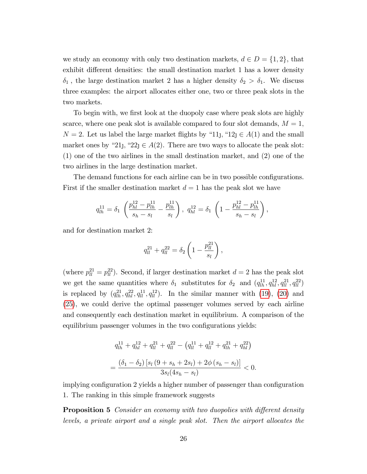we study an economy with only two destination markets,  $d \in D = \{1, 2\}$ , that exhibit different densities: the small destination market 1 has a lower density  $\delta_1$ , the large destination market 2 has a higher density  $\delta_2 > \delta_1$ . We discuss three examples: the airport allocates either one, two or three peak slots in the two markets.

To begin with, we first look at the duopoly case where peak slots are highly scarce, where one peak slot is available compared to four slot demands,  $M = 1$ ,  $N = 2$ . Let us label the large market flights by "11, "12 $j \in A(1)$  and the small market ones by "21, "22 $\in A(2)$ . There are two ways to allocate the peak slot: (1) one of the two airlines in the small destination market, and (2) one of the two airlines in the large destination market.

The demand functions for each airline can be in two possible configurations. First if the smaller destination market  $d = 1$  has the peak slot we have

$$
q_{lh}^{11} = \delta_1 \left( \frac{p_{hl}^{12} - p_{lh}^{11}}{s_h - s_l} - \frac{p_{lh}^{11}}{s_l} \right), q_{hl}^{12} = \delta_1 \left( 1 - \frac{p_{hl}^{12} - p_{lh}^{11}}{s_h - s_l} \right),
$$

and for destination market 2:

$$
q_{ll}^{21} + q_{ll}^{22} = \delta_2 \left( 1 - \frac{p_{ll}^{21}}{s_l} \right),
$$

(where  $p_{ll}^{21} = p_{ll}^{22}$ ). Second, if larger destination market  $d = 2$  has the peak slot we get the same quantities where  $\delta_1$  substitutes for  $\delta_2$  and  $(q_{lh}^{11}, q_{hl}^{12}, q_{ll}^{21}, q_{ll}^{22})$ is replaced by  $(q_{lh}^{21}, q_{hl}^{22}, q_{ll}^{11}, q_{ll}^{12})$ . In the similar manner with [\(19\)](#page-13-0), [\(20\)](#page-13-1) and [\(25\)](#page-14-1), we could derive the optimal passenger volumes served by each airline and consequently each destination market in equilibrium. A comparison of the equilibrium passenger volumes in the two configurations yields:

$$
q_{lh}^{11} + q_{hl}^{12} + q_{ll}^{21} + q_{ll}^{22} - \left(q_{ll}^{11} + q_{ll}^{12} + q_{lh}^{21} + q_{hl}^{22}\right)
$$

$$
= \frac{(\delta_1 - \delta_2) \left[s_l \left(9 + s_h + 2s_l\right) + 2\phi \left(s_h - s_l\right)\right]}{3s_l (4s_h - s_l)} < 0.
$$

implying configuration 2 yields a higher number of passenger than configuration 1. The ranking in this simple framework suggests

**Proposition 5** Consider an economy with two duopolies with different density levels, a private airport and a single peak slot. Then the airport allocates the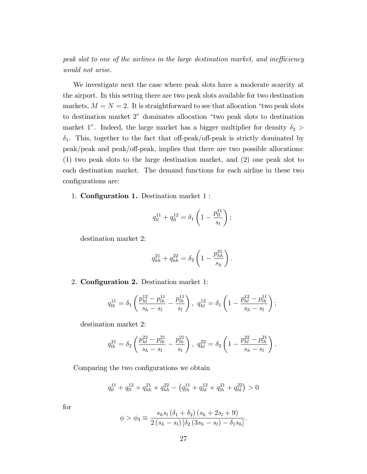peak slot to one of the airlines in the large destination market, and inefficiency would not arise.

We investigate next the case where peak slots have a moderate scarcity at the airport. In this setting there are two peak slots available for two destination markets,  $M = N = 2$ . It is straightforward to see that allocation "two peak slots" to destination market 2" dominates allocation "two peak slots to destination market 1". Indeed, the large market has a bigger multiplier for density  $\delta_2$  >  $\delta_1$ . This, together to the fact that off-peak/off-peak is strictly dominated by peak/peak and peak/off-peak, implies that there are two possible allocations: (1) two peak slots to the large destination market, and (2) one peak slot to each destination market. The demand functions for each airline in these two configurations are:

1. **Configuration 1.** Destination market 1 :

$$
q_{ll}^{11} + q_{ll}^{12} = \delta_1 \left( 1 - \frac{p_{ll}^{11}}{s_l} \right);
$$

destination market 2:

$$
q_{hh}^{21} + q_{hh}^{22} = \delta_2 \left( 1 - \frac{p_{hh}^{21}}{s_h} \right).
$$

2. **Configuration 2.** Destination market 1:

$$
q_{lh}^{11} = \delta_1 \left( \frac{p_{hl}^{12} - p_{lh}^{11}}{s_h - s_l} - \frac{p_{lh}^{11}}{s_l} \right), q_{hl}^{12} = \delta_1 \left( 1 - \frac{p_{hl}^{12} - p_{lh}^{11}}{s_h - s_l} \right);
$$

destination market 2:

$$
q_{lh}^{21} = \delta_2 \left( \frac{p_{hl}^{22} - p_{lh}^{21}}{s_h - s_l} - \frac{p_{lh}^{21}}{s_l} \right), \ q_{hl}^{22} = \delta_2 \left( 1 - \frac{p_{hl}^{22} - p_{lh}^{21}}{s_h - s_l} \right).
$$

Comparing the two configurations we obtain

$$
q_{ll}^{11} + q_{ll}^{12} + q_{hh}^{21} + q_{hh}^{22} - \left(q_{lh}^{11} + q_{hl}^{12} + q_{lh}^{21} + q_{hl}^{22}\right) > 0
$$

for

$$
\phi > \phi_3 \equiv \frac{s_h s_l (\delta_1 + \delta_2) (s_h + 2s_l + 9)}{2 (s_h - s_l) [\delta_2 (3s_h - s_l) - \delta_1 s_h]}.
$$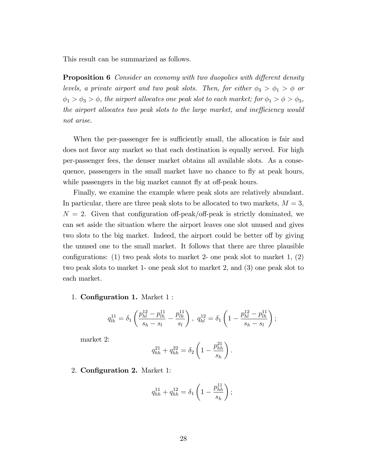This result can be summarized as follows.

**Proposition 6** Consider an economy with two duopolies with different density levels, a private airport and two peak slots. Then, for either  $\phi_3 > \phi_1 > \phi$  or  $\phi_1 > \phi_3 > \phi$ , the airport allocates one peak slot to each market; for  $\phi_1 > \phi > \phi_3$ , the airport allocates two peak slots to the large market, and inefficiency would not arise.

When the per-passenger fee is sufficiently small, the allocation is fair and does not favor any market so that each destination is equally served. For high per-passenger fees, the denser market obtains all available slots. As a consequence, passengers in the small market have no chance to fly at peak hours, while passengers in the big market cannot fly at off-peak hours.

Finally, we examine the example where peak slots are relatively abundant. In particular, there are three peak slots to be allocated to two markets,  $M = 3$ ,  $N = 2$ . Given that configuration of speak/off-peak is strictly dominated, we can set aside the situation where the airport leaves one slot unused and gives two slots to the big market. Indeed, the airport could be better of by giving the unused one to the small market. It follows that there are three plausible configurations: (1) two peak slots to market 2- one peak slot to market 1, (2) two peak slots to market 1- one peak slot to market 2, and (3) one peak slot to each market.

1. **Configuration 1.** Market 1:

$$
q_{lh}^{11} = \delta_1 \left( \frac{p_{hl}^{12} - p_{lh}^{11}}{s_h - s_l} - \frac{p_{lh}^{11}}{s_l} \right), \ q_{hl}^{12} = \delta_1 \left( 1 - \frac{p_{hl}^{12} - p_{lh}^{11}}{s_h - s_l} \right);
$$

market 2:

$$
q_{hh}^{21} + q_{hh}^{22} = \delta_2 \left( 1 - \frac{p_{hh}^{21}}{s_h} \right).
$$

2. Configuration 2. Market 1:

$$
q_{hh}^{11} + q_{hh}^{12} = \delta_1 \left( 1 - \frac{p_{hh}^{11}}{s_h} \right);
$$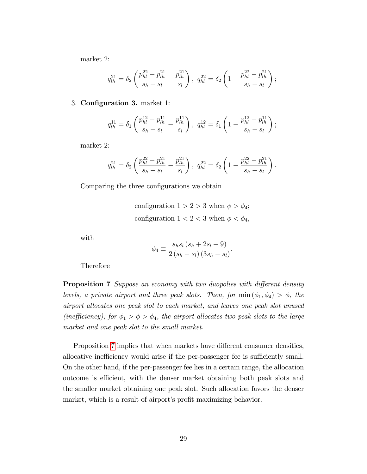market 2:

$$
q_{lh}^{21} = \delta_2 \left( \frac{p_{hl}^{22} - p_{lh}^{21}}{s_h - s_l} - \frac{p_{lh}^{21}}{s_l} \right), \ q_{hl}^{22} = \delta_2 \left( 1 - \frac{p_{hl}^{22} - p_{lh}^{21}}{s_h - s_l} \right);
$$

#### 3. Configuration 3. market 1:

$$
q_{lh}^{11} = \delta_1 \left( \frac{p_{hl}^{12} - p_{lh}^{11}}{s_h - s_l} - \frac{p_{lh}^{11}}{s_l} \right), \ q_{hl}^{12} = \delta_1 \left( 1 - \frac{p_{hl}^{12} - p_{lh}^{11}}{s_h - s_l} \right);
$$

market 2:

$$
q_{lh}^{21} = \delta_2 \left( \frac{p_{hl}^{22} - p_{lh}^{21}}{s_h - s_l} - \frac{p_{lh}^{21}}{s_l} \right), q_{hl}^{22} = \delta_2 \left( 1 - \frac{p_{hl}^{22} - p_{lh}^{21}}{s_h - s_l} \right).
$$

Comparing the three configurations we obtain

configuration  $1 > 2 > 3$  when  $\phi > \phi_4$ ; configuration  $1 < 2 < 3$  when  $\phi < \phi_4$ ,

with

$$
\phi_4 \equiv \frac{s_h s_l (s_h + 2s_l + 9)}{2 (s_h - s_l) (3s_h - s_l)}.
$$

Therefore

<span id="page-29-0"></span>**Proposition 7** Suppose an economy with two duopolies with different density levels, a private airport and three peak slots. Then, for  $\min(\phi_1, \phi_4) > \phi$ , the airport allocates one peak slot to each market, and leaves one peak slot unused (inefficiency); for  $\phi_1 > \phi > \phi_4$ , the airport allocates two peak slots to the large market and one peak slot to the small market.

Proposition [7](#page-29-0) implies that when markets have different consumer densities, allocative inefficiency would arise if the per-passenger fee is sufficiently small. On the other hand, if the per-passenger fee lies in a certain range, the allocation outcome is efficient, with the denser market obtaining both peak slots and the smaller market obtaining one peak slot. Such allocation favors the denser market, which is a result of airport's profit maximizing behavior.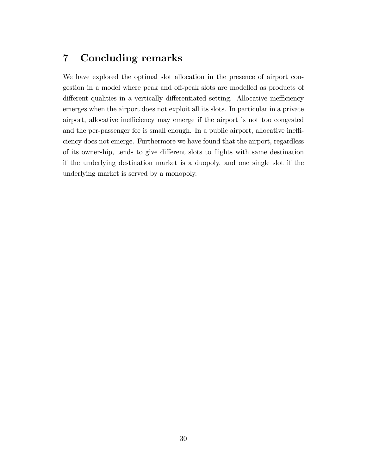## <span id="page-30-0"></span>7 Concluding remarks

We have explored the optimal slot allocation in the presence of airport congestion in a model where peak and off-peak slots are modelled as products of different qualities in a vertically differentiated setting. Allocative inefficiency emerges when the airport does not exploit all its slots. In particular in a private airport, allocative inefficiency may emerge if the airport is not too congested and the per-passenger fee is small enough. In a public airport, allocative inefficiency does not emerge. Furthermore we have found that the airport, regardless of its ownership, tends to give different slots to flights with same destination if the underlying destination market is a duopoly, and one single slot if the underlying market is served by a monopoly.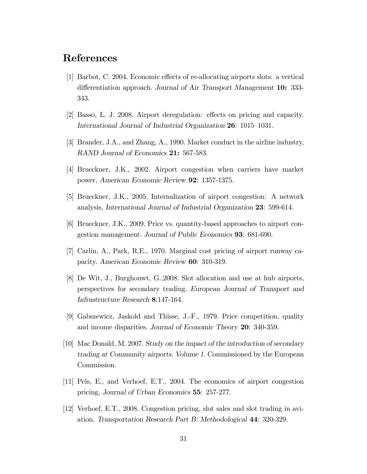## References

- [1] Barbot, C. 2004. Economic effects of re-allocating airports slots: a vertical differentiation approach. Journal of Air Transport Management 10: 333-343.
- [2] Basso, L. J. 2008. Airport deregulation: effects on pricing and capacity. International Journal of Industrial Organization 26: 1015–1031.
- [3] Brander, J.A., and Zhang, A., 1990. Market conduct in the airline industry, RAND Journal of Economics 21: 567-583.
- [4] Brueckner, J.K., 2002. Airport congestion when carriers have market power, American Economic Review 92: 1357-1375.
- [5] Brueckner, J.K., 2005. Internalization of airport congestion: A network analysis, International Journal of Industrial Organization 23: 599-614.
- [6] Brueckner, J.K., 2009. Price vs. quantity-based approaches to airport congestion management. Journal of Public Economics 93: 681-690.
- [7] Carlin, A., Park, R.E., 1970. Marginal cost pricing of airport runway capacity. American Economic Review 60: 310-319.
- [8] De Wit, J., Burghouwt, G.,2008. Slot allocation and use at hub airports, perspectives for secondary trading. European Journal of Transport and Infrastructure Research 8:147-164.
- [9] Gabszewicz, Jaskold and Thisse, J.-F., 1979. Price competition, quality and income disparities. Journal of Economic Theory 20: 340-359.
- [10] Mac Donald, M. 2007. Study on the impact of the introduction of secondary trading at Community airports. Volume 1. Commissioned by the European Commission.
- [11] Pels, E., and Verhoef, E.T., 2004. The economics of airport congestion pricing, Journal of Urban Economics 55: 257-277.
- [12] Verhoef, E.T., 2008. Congestion pricing, slot sales and slot trading in aviation. Transportation Research Part B: Methodological 44: 320-329.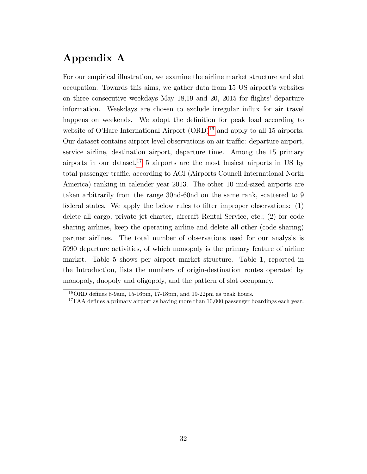## Appendix A

For our empirical illustration, we examine the airline market structure and slot occupation. Towards this aims, we gather data from 15 US airport's websites on three consecutive weekdays May  $18,19$  and  $20, 2015$  for flights' departure information. Weekdays are chosen to exclude irregular influx for air travel happens on weekends. We adopt the definition for peak load according to website of O'Hare International Airport  $(ORD)^{16}$  $(ORD)^{16}$  $(ORD)^{16}$  and apply to all 15 airports. Our dataset contains airport level observations on air traffic: departure airport, service airline, destination airport, departure time. Among the 15 primary airports in our dataset,  $17\,$  $17\,$  5 airports are the most busiest airports in US by total passenger traffic, according to ACI (Airports Council International North America) ranking in calender year 2013. The other 10 mid-sized airports are taken arbitrarily from the range 30nd-60nd on the same rank, scattered to 9 federal states. We apply the below rules to filter improper observations:  $(1)$ delete all cargo, private jet charter, aircraft Rental Service, etc.; (2) for code sharing airlines, keep the operating airline and delete all other (code sharing) partner airlines. The total number of observations used for our analysis is 5990 departure activities, of which monopoly is the primary feature of airline market. Table 5 shows per airport market structure. Table 1, reported in the Introduction, lists the numbers of origin-destination routes operated by monopoly, duopoly and oligopoly, and the pattern of slot occupancy.

<span id="page-32-0"></span> $^{16}$ ORD defines 8-9am, 15-16pm, 17-18pm, and 19-22pm as peak hours.

<span id="page-32-1"></span><sup>&</sup>lt;sup>17</sup>FAA defines a primary airport as having more than  $10,000$  passenger boardings each year.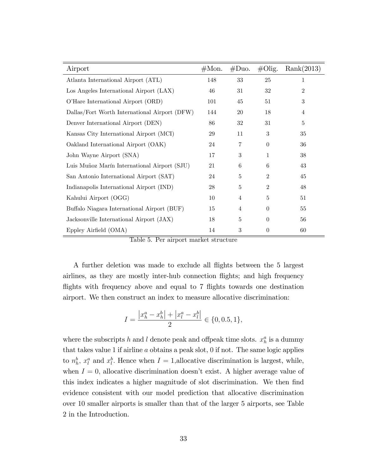| Airport                                       | $\#\mathrm{Mon}.$ | #Duo.            | $\#\text{Olig.}$ | Rank(2013)       |
|-----------------------------------------------|-------------------|------------------|------------------|------------------|
| Atlanta International Airport (ATL)           | 148               | 33               | 25               | 1                |
| Los Angeles International Airport (LAX)       | 46                | 31               | 32               | $\overline{2}$   |
| O'Hare International Airport (ORD)            | 101               | 45               | 51               | $\boldsymbol{3}$ |
| Dallas/Fort Worth International Airport (DFW) | 144               | 20               | 18               | 4                |
| Denver International Airport (DEN)            | 86                | 32               | 31               | $\bf 5$          |
| Kansas City International Airport (MCI)       | 29                | 11               | 3                | 35               |
| Oakland International Airport (OAK)           | 24                | 7                | $\theta$         | 36               |
| John Wayne Airport (SNA)                      | 17                | $\boldsymbol{3}$ | 1                | 38               |
| Luis Muñoz Marín International Airport (SJU)  | 21                | 6                | 6                | 43               |
| San Antonio International Airport (SAT)       | 24                | 5                | $\overline{2}$   | 45               |
| Indianapolis International Airport (IND)      | 28                | 5                | $\overline{2}$   | 48               |
| Kahului Airport (OGG)                         | 10                | 4                | $\overline{5}$   | 51               |
| Buffalo Niagara International Airport (BUF)   | 15                | $\overline{4}$   | $\theta$         | 55               |
| Jacksonville International Airport (JAX)      | 18                | 5                | $\theta$         | 56               |
| Eppley Airfield (OMA)                         | 14                | 3                | $\theta$         | 60               |

Table 5. Per airport market structure

A further deletion was made to exclude all áights between the 5 largest airlines, as they are mostly inter-hub connection flights; and high frequency flights with frequency above and equal to 7 flights towards one destination airport. We then construct an index to measure allocative discrimination:

$$
I = \frac{\left|x_h^a - x_h^b\right| + \left|x_l^a - x_l^b\right|}{2} \in \{0, 0.5, 1\},\
$$

where the subscripts h and l denote peak and offpeak time slots.  $x_h^a$  is a dummy that takes value 1 if airline  $a$  obtains a peak slot, 0 if not. The same logic applies to  $n_h^b$ ,  $x_l^a$  and  $x_l^b$ . Hence when  $I = 1$ , allocative discrimination is largest, while, when  $I = 0$ , allocative discrimination doesn't exist. A higher average value of this index indicates a higher magnitude of slot discrimination. We then find evidence consistent with our model prediction that allocative discrimination over 10 smaller airports is smaller than that of the larger 5 airports, see Table 2 in the Introduction.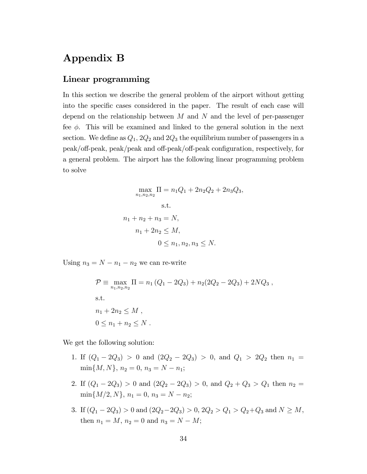## Appendix B

#### <span id="page-34-0"></span>Linear programming

In this section we describe the general problem of the airport without getting into the specific cases considered in the paper. The result of each case will depend on the relationship between  $M$  and  $N$  and the level of per-passenger fee  $\phi$ . This will be examined and linked to the general solution in the next section. We define as  $Q_1$ ,  $2Q_2$  and  $2Q_3$  the equilibrium number of passengers in a peak/off-peak, peak/peak and off-peak/off-peak configuration, respectively, for a general problem. The airport has the following linear programming problem to solve

$$
\max_{n_1, n_2, n_2} \Pi = n_1 Q_1 + 2n_2 Q_2 + 2n_3 Q_3,
$$
  
s.t.  

$$
n_1 + n_2 + n_3 = N,
$$

$$
n_1 + 2n_2 \le M,
$$

$$
0 \le n_1, n_2, n_3 \le N.
$$

Using  $n_3 = N - n_1 - n_2$  we can re-write

$$
\mathcal{P} \equiv \max_{n_1, n_2, n_2} \Pi = n_1 (Q_1 - 2Q_3) + n_2 (2Q_2 - 2Q_3) + 2NQ_3,
$$
  
s.t.  

$$
n_1 + 2n_2 \le M,
$$
  

$$
0 \le n_1 + n_2 \le N.
$$

We get the following solution:

- 1. If  $(Q_1 2Q_3) > 0$  and  $(2Q_2 2Q_3) > 0$ , and  $Q_1 > 2Q_2$  then  $n_1 =$  $\min\{M, N\}, n_2 = 0, n_3 = N - n_1;$
- 2. If  $(Q_1 2Q_3) > 0$  and  $(2Q_2 2Q_3) > 0$ , and  $Q_2 + Q_3 > Q_1$  then  $n_2 =$  $\min\{M/2, N\}, n_1 = 0, n_3 = N - n_2;$
- 3. If  $(Q_1 2Q_3) > 0$  and  $(2Q_2 2Q_3) > 0$ ,  $2Q_2 > Q_1 > Q_2 + Q_3$  and  $N \ge M$ , then  $n_1 = M$ ,  $n_2 = 0$  and  $n_3 = N - M$ ;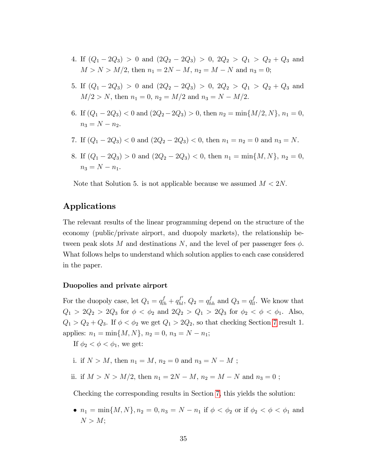- 4. If  $(Q_1 2Q_3) > 0$  and  $(2Q_2 2Q_3) > 0$ ,  $2Q_2 > Q_1 > Q_2 + Q_3$  and  $M > N > M/2$ , then  $n_1 = 2N - M$ ,  $n_2 = M - N$  and  $n_3 = 0$ ;
- 5. If  $(Q_1 2Q_3) > 0$  and  $(2Q_2 2Q_3) > 0$ ,  $2Q_2 > Q_1 > Q_2 + Q_3$  and  $M/2 > N$ , then  $n_1 = 0$ ,  $n_2 = M/2$  and  $n_3 = N - M/2$ .
- 6. If  $(Q_1 2Q_3) < 0$  and  $(2Q_2 2Q_3) > 0$ , then  $n_2 = \min\{M/2, N\}$ ,  $n_1 = 0$ ,  $n_3 = N - n_2.$
- 7. If  $(Q_1 2Q_3) < 0$  and  $(2Q_2 2Q_3) < 0$ , then  $n_1 = n_2 = 0$  and  $n_3 = N$ .
- 8. If  $(Q_1 2Q_3) > 0$  and  $(2Q_2 2Q_3) < 0$ , then  $n_1 = \min\{M, N\}$ ,  $n_2 = 0$ ,  $n_3 = N - n_1$ .

Note that Solution 5. is not applicable because we assumed  $M < 2N$ .

## Applications

The relevant results of the linear programming depend on the structure of the economy (public/private airport, and duopoly markets), the relationship between peak slots M and destinations N, and the level of per passenger fees  $\phi$ . What follows helps to understand which solution applies to each case considered in the paper.

#### Duopolies and private airport

For the duopoly case, let  $Q_1 = q_{lh}^f + q_{hl}^{f'}$ ,  $Q_2 = q_{hh}^f$  and  $Q_3 = q_{ll}^f$ . We know that  $Q_1 > 2Q_2 > 2Q_3$  for  $\phi < \phi_2$  and  $2Q_2 > Q_1 > 2Q_3$  for  $\phi_2 < \phi < \phi_1$ . Also,  $Q_1 > Q_2 + Q_3$ . If  $\phi < \phi_2$  we get  $Q_1 > 2Q_2$ , so that checking Section [7](#page-34-0) result 1. applies:  $n_1 = \min\{M, N\}, n_2 = 0, n_3 = N - n_1;$ 

If  $\phi_2 < \phi < \phi_1$ , we get:

- i. if  $N > M$ , then  $n_1 = M$ ,  $n_2 = 0$  and  $n_3 = N M$ ;
- ii. if  $M > N > M/2$ , then  $n_1 = 2N M$ ,  $n_2 = M N$  and  $n_3 = 0$ ;

Checking the corresponding results in Section [7,](#page-34-0) this yields the solution:

•  $n_1 = \min\{M, N\}, n_2 = 0, n_3 = N - n_1$  if  $\phi < \phi_2$  or if  $\phi_2 < \phi < \phi_1$  and  $N > M$ ;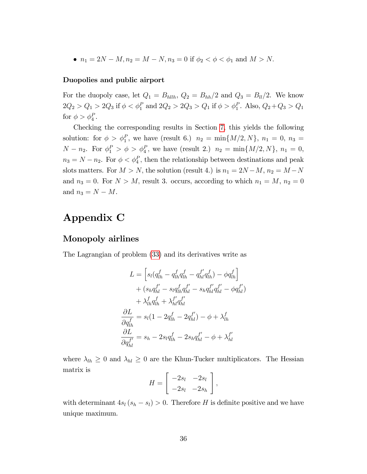•  $n_1 = 2N - M, n_2 = M - N, n_3 = 0$  if  $\phi_2 < \phi < \phi_1$  and  $M > N$ .

#### Duopolies and public airport

For the duopoly case, let  $Q_1 = B_{\text{hllb}}$ ,  $Q_2 = B_{\text{hh}}/2$  and  $Q_3 = B_{\text{ll}}/2$ . We know  $2Q_2 > Q_1 > 2Q_3$  if  $\phi < \phi_1^P$  and  $2Q_2 > 2Q_3 > Q_1$  if  $\phi > \phi_1^P$ . Also,  $Q_2 + Q_3 > Q_1$ for  $\phi > \phi_4^P$ .

Checking the corresponding results in Section [7,](#page-34-0) this yields the following solution: for  $\phi > \phi_1^P$ , we have (result 6.)  $n_2 = \min\{M/2, N\}$ ,  $n_1 = 0$ ,  $n_3 =$  $N - n_2$ . For  $\phi_1^P > \phi > \phi_4^P$ , we have (result 2.)  $n_2 = \min\{M/2, N\}$ ,  $n_1 = 0$ ,  $n_3 = N - n_2$ . For  $\phi < \phi_4^P$ , then the relationship between destinations and peak slots matters. For  $M > N$ , the solution (result 4.) is  $n_1 = 2N - M$ ,  $n_2 = M - N$ and  $n_3 = 0$ . For  $N > M$ , result 3. occurs, according to which  $n_1 = M$ ,  $n_2 = 0$ and  $n_3 = N - M$ .

## Appendix C

#### Monopoly airlines

The Lagrangian of problem [\(33\)](#page-20-3) and its derivatives write as

$$
L = \left[ s_l \left( q_{lh}^f - q_{lh}^f q_{lh}^f - q_{hl}^{f'} q_{lh}^f \right) - \phi q_{lh}^f \right] + \left( s_h q_{hl}^{f'} - s_l q_{lh}^f q_{hl}^{f'} - s_h q_{hl}^{f'} q_{hl}^{f'} - \phi q_{hl}^{f'} \right) + \lambda_{lh}^f q_{lh}^f + \lambda_{hl}^{f'} q_{hl}^{f'} \n\frac{\partial L}{\partial q_{lh}^f} = s_l (1 - 2q_{lh}^f - 2q_{hl}^{f'}) - \phi + \lambda_{lh}^f \n\frac{\partial L}{\partial q_{hl}^{f'}} = s_h - 2s_l q_{lh}^f - 2s_h q_{hl}^{f'} - \phi + \lambda_{hl}^{f'}
$$

where  $\lambda_{lh} \geq 0$  and  $\lambda_{hl} \geq 0$  are the Khun-Tucker multiplicators. The Hessian matrix is

$$
H = \left[ \begin{array}{cc} -2s_l & -2s_l \\ -2s_l & -2s_h \end{array} \right],
$$

with determinant  $4s_l (s_h - s_l) > 0$ . Therefore H is definite positive and we have unique maximum.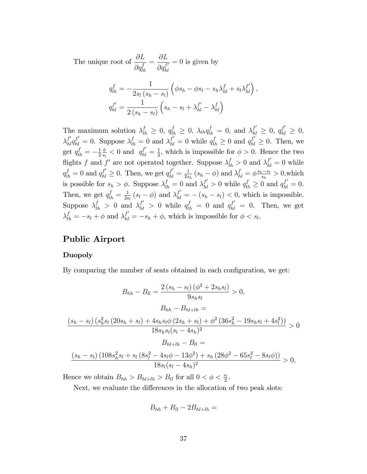The unique root of  $\frac{\partial L}{\partial f}$  $\partial q^f_{lh}$ =  $\partial L$  $\partial q_{hl}^{f'}$  $= 0$  is given by

$$
q_{lh}^f = -\frac{1}{2s_l(s_h - s_l)} \left( \phi s_h - \phi s_l - s_h \lambda_{hl}^f + s_l \lambda_{hl}^{f'} \right),
$$
  

$$
q_{hl}^{f'} = \frac{1}{2(s_h - s_l)} \left( s_h - s_l + \lambda_{hl}^{f'} - \lambda_{hl}^f \right)
$$

The maximum solution  $\lambda_{lh}^f \geq 0$ ,  $q_{lh}^f \geq 0$ ,  $\lambda_{lh} q_{lh}^f = 0$ , and  $\lambda_{hl}^{f'} \geq 0$ ,  $q_{hl}^{f'} \geq 0$ ,  $\lambda_{hl}^{f'} q_{hl}^{f'} = 0$ . Suppose  $\lambda_{lh}^f = 0$  and  $\lambda_{hl}^{f'} = 0$  while  $q_{lh}^f \ge 0$  and  $q_{hl}^{f'} \ge 0$ . Then, we get  $q_{lh}^f = -\frac{1}{2}$ 2  $\phi$  $\frac{\phi}{s_l}$  < 0 and  $q_{hl}^{f'} = \frac{1}{2}$  $\frac{1}{2}$ , which is impossible for  $\phi > 0$ . Hence the two flights f and f' are not operated together. Suppose  $\lambda_{lh}^f > 0$  and  $\lambda_{hl}^{f'} = 0$  while  $q_{lh}^f = 0$  and  $q_{hl}^{f'} \ge 0$ . Then, we get  $q_{hl}^{f'} = \frac{1}{2s}$  $\frac{1}{2s_h}(s_h - \phi)$  and  $\lambda_{hl}^f = \phi \frac{s_h - s_l}{s_h} > 0$ , which is possible for  $s_h > \phi$ . Suppose  $\lambda_{lh}^f = 0$  and  $\lambda_{hl}^{f'} > 0$  while  $q_{lh}^f \ge 0$  and  $q_{hl}^{f'} = 0$ . Then, we get  $q_{lh}^f = \frac{1}{2s}$  $\frac{1}{2s_l}(s_l - \phi)$  and  $\lambda_{hl}^{f'} = -(s_h - s_l) < 0$ , which is impossible. Suppose  $\lambda_{lh}^f > 0$  and  $\lambda_{hl}^{f'} > 0$  while  $q_{lh}^f = 0$  and  $q_{hl}^{f'} = 0$ . Then, we get  $\lambda_{lh}^f = -s_l + \phi$  and  $\lambda_{hl}^{f'} = -s_h + \phi$ , which is impossible for  $\phi < s_l$ .

#### Public Airport

#### Duopoly

By comparing the number of seats obtained in each configuration, we get:

$$
B_{hh} - B_{ll} = \frac{2(s_h - s_l)(\phi^2 + 2s_h s_l)}{9s_h s_l} > 0,
$$
  
\n
$$
B_{hh} - B_{hl+lh} =
$$
  
\n
$$
\frac{(s_h - s_l)(s_h^2 s_l (20s_h + s_l) + 4s_h s_l \phi (2s_h + s_l) + \phi^2 (36s_h^2 - 19s_h s_l + 4s_l^2))}{18s_h s_l (s_l - 4s_h)^2} > 0
$$
  
\n
$$
B_{hl+lh} - B_{ll} =
$$
  
\n
$$
\frac{(s_h - s_l)(108s_h^2 s_l + s_l (8s_l^2 - 4s_l \phi - 13\phi^2) + s_h (28\phi^2 - 65s_l^2 - 8s_l \phi))}{18s_l (s_l - 4s_h)^2} > 0,
$$

Hence we obtain  $B_{hh} > B_{hl+lh} > B_{ll}$  for all  $0 < \phi < \frac{s_l}{2}$ .

Next, we evaluate the differences in the allocation of two peak slots:

$$
B_{hh}+B_{ll}-2B_{hl+lh}=
$$